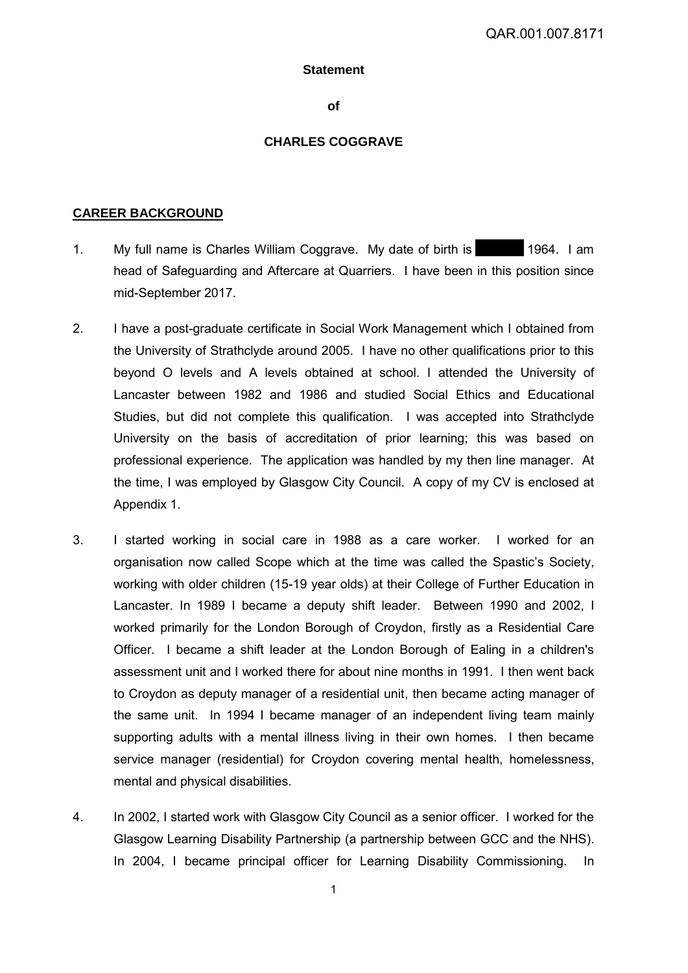#### **Statement**

**of** 

### **CHARLES COGGRAVE**

### **CAREER BACKGROUND**

- 1. My full name is Charles William Coggrave. My date of birth is 1964. I am head of Safeguarding and Aftercare at Quarriers. I have been in this position since mid-September 2017.
- 2. I have a post-graduate certificate in Social Work Management which I obtained from the University of Strathclyde around 2005. I have no other qualifications prior to this beyond O levels and A levels obtained at school. I attended the University of Lancaster between 1982 and 1986 and studied Social Ethics and Educational Studies, but did not complete this qualification. I was accepted into Strathclyde University on the basis of accreditation of prior learning; this was based on professional experience. The application was handled by my then line manager. At the time, I was employed by Glasgow City Council. A copy of my CV is enclosed at Appendix 1.
- 3. I started working in social care in 1988 as a care worker. I worked for an organisation now called Scope which at the time was called the Spastic's Society, working with older children (15-19 year olds) at their College of Further Education in Lancaster. In 1989 I became a deputy shift leader. Between 1990 and 2002, I worked primarily for the London Borough of Croydon, firstly as a Residential Care Officer. I became a shift leader at the London Borough of Ealing in a children's assessment unit and I worked there for about nine months in 1991. I then went back to Croydon as deputy manager of a residential unit, then became acting manager of the same unit. In 1994 I became manager of an independent living team mainly supporting adults with a mental illness living in their own homes. I then became service manager (residential) for Croydon covering mental health, homelessness, mental and physical disabilities.
- 4. In 2002, I started work with Glasgow City Council as a senior officer. I worked for the Glasgow Learning Disability Partnership (a partnership between GCC and the NHS). In 2004, I became principal officer for Learning Disability Commissioning. In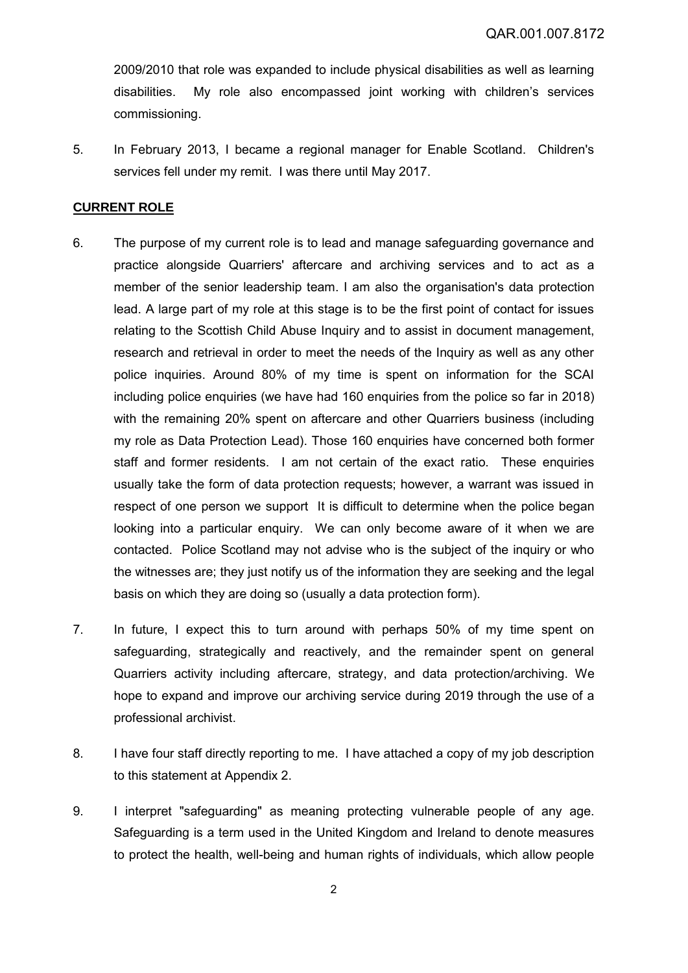2009/2010 that role was expanded to include physical disabilities as well as learning disabilities. My role also encompassed joint working with children's services commissioning.

5. In February 2013, I became a regional manager for Enable Scotland. Children's services fell under my remit. I was there until May 2017.

# **CURRENT ROLE**

- 6. The purpose of my current role is to lead and manage safeguarding governance and practice alongside Quarriers' aftercare and archiving services and to act as a member of the senior leadership team. I am also the organisation's data protection lead. A large part of my role at this stage is to be the first point of contact for issues relating to the Scottish Child Abuse Inquiry and to assist in document management, research and retrieval in order to meet the needs of the Inquiry as well as any other police inquiries. Around 80% of my time is spent on information for the SCAI including police enquiries (we have had 160 enquiries from the police so far in 2018) with the remaining 20% spent on aftercare and other Quarriers business (including my role as Data Protection Lead). Those 160 enquiries have concerned both former staff and former residents. I am not certain of the exact ratio. These enquiries usually take the form of data protection requests; however, a warrant was issued in respect of one person we support It is difficult to determine when the police began looking into a particular enquiry. We can only become aware of it when we are contacted. Police Scotland may not advise who is the subject of the inquiry or who the witnesses are; they just notify us of the information they are seeking and the legal basis on which they are doing so (usually a data protection form).
- 7. In future, I expect this to turn around with perhaps 50% of my time spent on safeguarding, strategically and reactively, and the remainder spent on general Quarriers activity including aftercare, strategy, and data protection/archiving. We hope to expand and improve our archiving service during 2019 through the use of a professional archivist.
- 8. I have four staff directly reporting to me. I have attached a copy of my job description to this statement at Appendix 2.
- 9. I interpret "safeguarding" as meaning protecting vulnerable people of any age. Safeguarding is a term used in the United Kingdom and Ireland to denote measures to protect the health, well-being and human rights of individuals, which allow people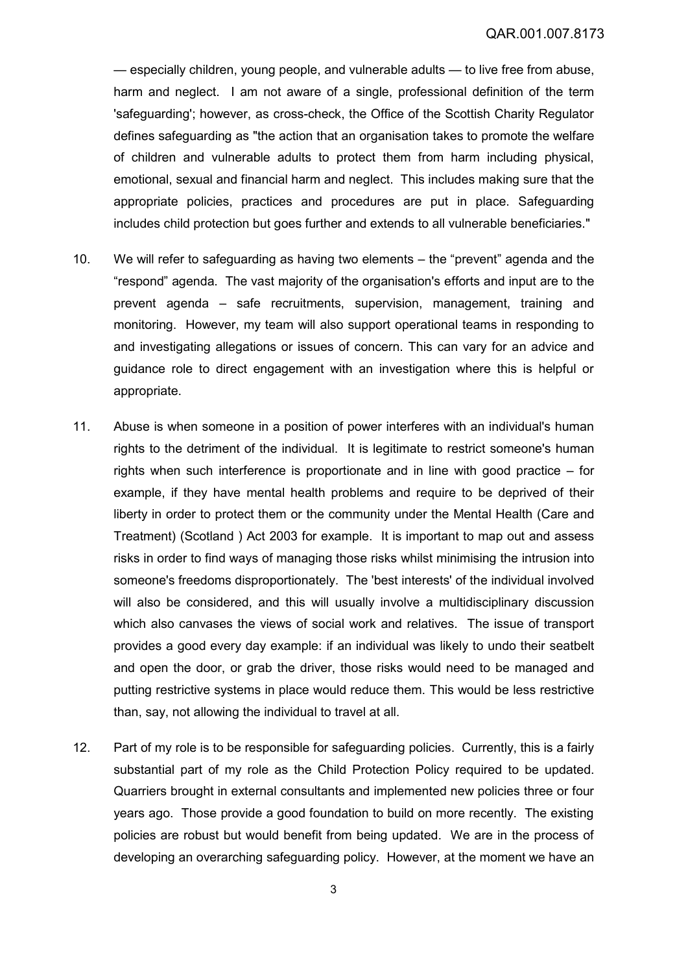— especially children, young people, and vulnerable adults — to live free from abuse, harm and neglect. I am not aware of a single, professional definition of the term 'safeguarding'; however, as cross-check, the Office of the Scottish Charity Regulator defines safeguarding as "the action that an organisation takes to promote the welfare of children and vulnerable adults to protect them from harm including physical, emotional, sexual and financial harm and neglect. This includes making sure that the appropriate policies, practices and procedures are put in place. Safeguarding includes child protection but goes further and extends to all vulnerable beneficiaries."

- 10. We will refer to safeguarding as having two elements the "prevent" agenda and the "respond" agenda. The vast majority of the organisation's efforts and input are to the prevent agenda – safe recruitments, supervision, management, training and monitoring. However, my team will also support operational teams in responding to and investigating allegations or issues of concern. This can vary for an advice and guidance role to direct engagement with an investigation where this is helpful or appropriate.
- 11. Abuse is when someone in a position of power interferes with an individual's human rights to the detriment of the individual. It is legitimate to restrict someone's human rights when such interference is proportionate and in line with good practice – for example, if they have mental health problems and require to be deprived of their liberty in order to protect them or the community under the Mental Health (Care and Treatment) (Scotland ) Act 2003 for example. It is important to map out and assess risks in order to find ways of managing those risks whilst minimising the intrusion into someone's freedoms disproportionately. The 'best interests' of the individual involved will also be considered, and this will usually involve a multidisciplinary discussion which also canvases the views of social work and relatives. The issue of transport provides a good every day example: if an individual was likely to undo their seatbelt and open the door, or grab the driver, those risks would need to be managed and putting restrictive systems in place would reduce them. This would be less restrictive than, say, not allowing the individual to travel at all.
- 12. Part of my role is to be responsible for safeguarding policies. Currently, this is a fairly substantial part of my role as the Child Protection Policy required to be updated. Quarriers brought in external consultants and implemented new policies three or four years ago. Those provide a good foundation to build on more recently. The existing policies are robust but would benefit from being updated. We are in the process of developing an overarching safeguarding policy. However, at the moment we have an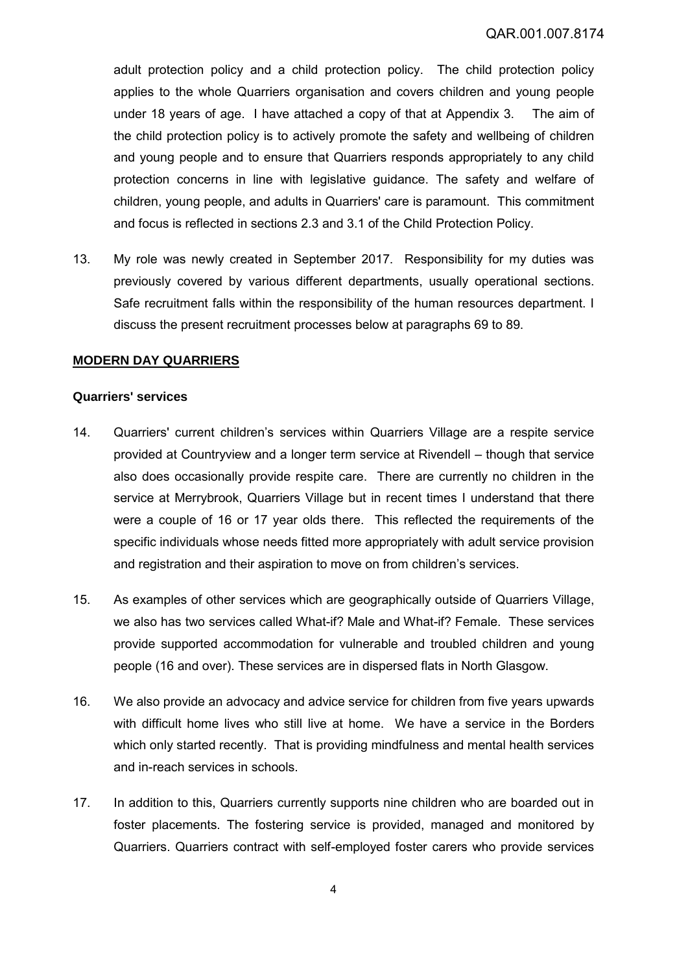adult protection policy and a child protection policy. The child protection policy applies to the whole Quarriers organisation and covers children and young people under 18 years of age. I have attached a copy of that at Appendix 3. The aim of the child protection policy is to actively promote the safety and wellbeing of children and young people and to ensure that Quarriers responds appropriately to any child protection concerns in line with legislative guidance. The safety and welfare of children, young people, and adults in Quarriers' care is paramount. This commitment and focus is reflected in sections 2.3 and 3.1 of the Child Protection Policy.

13. My role was newly created in September 2017. Responsibility for my duties was previously covered by various different departments, usually operational sections. Safe recruitment falls within the responsibility of the human resources department. I discuss the present recruitment processes below at paragraphs [69](#page-14-0) to [89.](#page-18-0)

## **MODERN DAY QUARRIERS**

#### **Quarriers' services**

- 14. Quarriers' current children's services within Quarriers Village are a respite service provided at Countryview and a longer term service at Rivendell – though that service also does occasionally provide respite care. There are currently no children in the service at Merrybrook, Quarriers Village but in recent times I understand that there were a couple of 16 or 17 year olds there. This reflected the requirements of the specific individuals whose needs fitted more appropriately with adult service provision and registration and their aspiration to move on from children's services.
- 15. As examples of other services which are geographically outside of Quarriers Village, we also has two services called What-if? Male and What-if? Female. These services provide supported accommodation for vulnerable and troubled children and young people (16 and over). These services are in dispersed flats in North Glasgow.
- 16. We also provide an advocacy and advice service for children from five years upwards with difficult home lives who still live at home. We have a service in the Borders which only started recently. That is providing mindfulness and mental health services and in-reach services in schools.
- 17. In addition to this, Quarriers currently supports nine children who are boarded out in foster placements. The fostering service is provided, managed and monitored by Quarriers. Quarriers contract with self-employed foster carers who provide services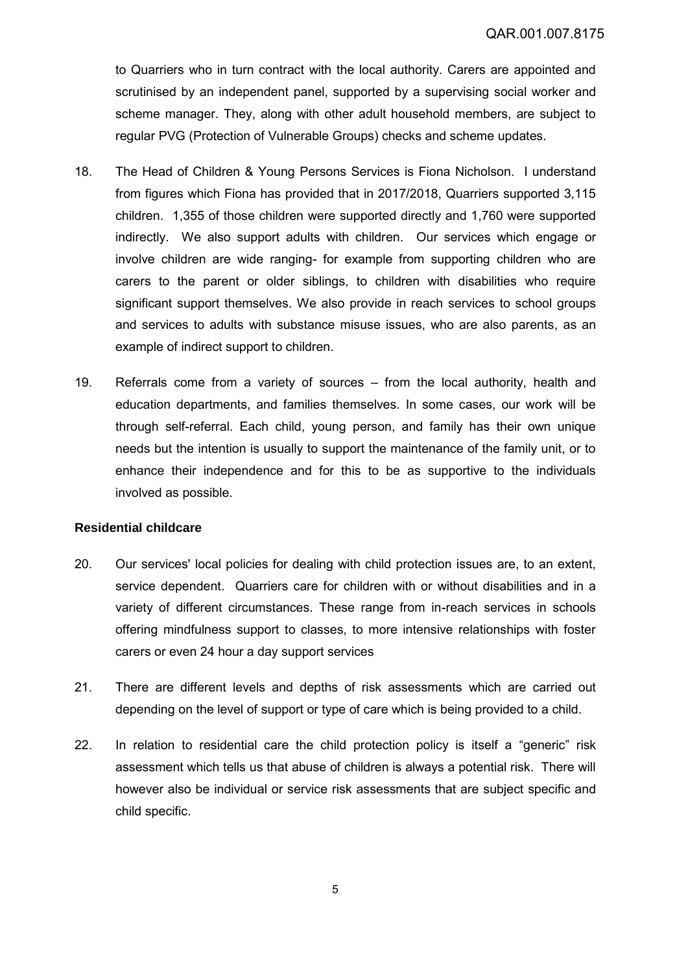to Quarriers who in turn contract with the local authority. Carers are appointed and scrutinised by an independent panel, supported by a supervising social worker and scheme manager. They, along with other adult household members, are subject to regular PVG (Protection of Vulnerable Groups) checks and scheme updates.

- 18. The Head of Children & Young Persons Services is Fiona Nicholson. I understand from figures which Fiona has provided that in 2017/2018, Quarriers supported 3,115 children. 1,355 of those children were supported directly and 1,760 were supported indirectly. We also support adults with children. Our services which engage or involve children are wide ranging- for example from supporting children who are carers to the parent or older siblings, to children with disabilities who require significant support themselves. We also provide in reach services to school groups and services to adults with substance misuse issues, who are also parents, as an example of indirect support to children.
- 19. Referrals come from a variety of sources from the local authority, health and education departments, and families themselves. In some cases, our work will be through self-referral. Each child, young person, and family has their own unique needs but the intention is usually to support the maintenance of the family unit, or to enhance their independence and for this to be as supportive to the individuals involved as possible.

### **Residential childcare**

- 20. Our services' local policies for dealing with child protection issues are, to an extent, service dependent. Quarriers care for children with or without disabilities and in a variety of different circumstances. These range from in-reach services in schools offering mindfulness support to classes, to more intensive relationships with foster carers or even 24 hour a day support services
- 21. There are different levels and depths of risk assessments which are carried out depending on the level of support or type of care which is being provided to a child.
- 22. In relation to residential care the child protection policy is itself a "generic" risk assessment which tells us that abuse of children is always a potential risk. There will however also be individual or service risk assessments that are subject specific and child specific.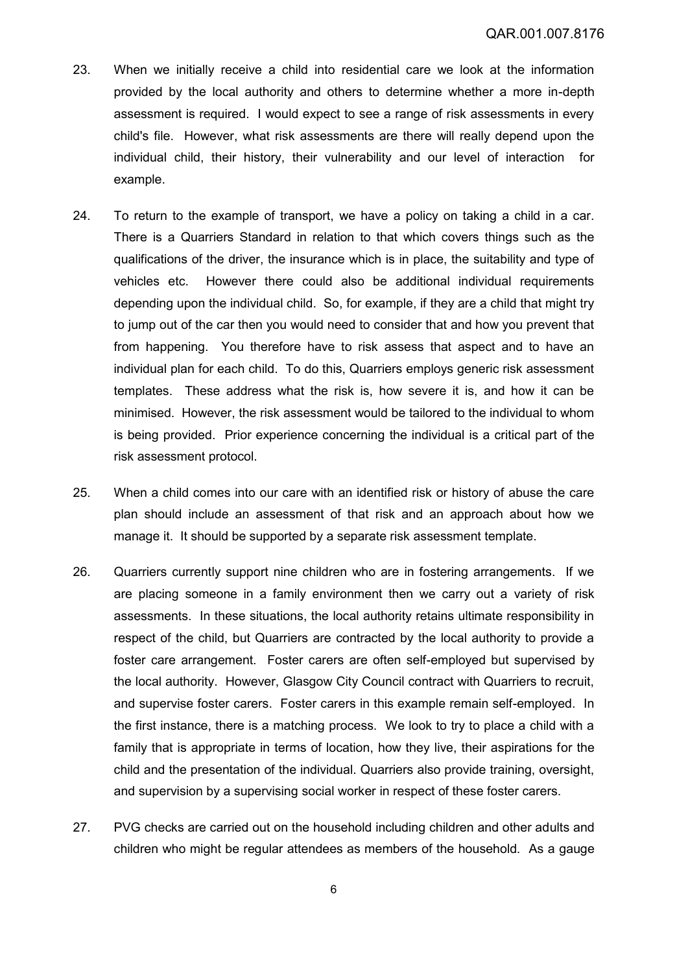- 23. When we initially receive a child into residential care we look at the information provided by the local authority and others to determine whether a more in-depth assessment is required. I would expect to see a range of risk assessments in every child's file. However, what risk assessments are there will really depend upon the individual child, their history, their vulnerability and our level of interaction for example.
- 24. To return to the example of transport, we have a policy on taking a child in a car. There is a Quarriers Standard in relation to that which covers things such as the qualifications of the driver, the insurance which is in place, the suitability and type of vehicles etc. However there could also be additional individual requirements depending upon the individual child. So, for example, if they are a child that might try to jump out of the car then you would need to consider that and how you prevent that from happening. You therefore have to risk assess that aspect and to have an individual plan for each child. To do this, Quarriers employs generic risk assessment templates. These address what the risk is, how severe it is, and how it can be minimised. However, the risk assessment would be tailored to the individual to whom is being provided. Prior experience concerning the individual is a critical part of the risk assessment protocol.
- 25. When a child comes into our care with an identified risk or history of abuse the care plan should include an assessment of that risk and an approach about how we manage it. It should be supported by a separate risk assessment template.
- 26. Quarriers currently support nine children who are in fostering arrangements. If we are placing someone in a family environment then we carry out a variety of risk assessments. In these situations, the local authority retains ultimate responsibility in respect of the child, but Quarriers are contracted by the local authority to provide a foster care arrangement. Foster carers are often self-employed but supervised by the local authority. However, Glasgow City Council contract with Quarriers to recruit, and supervise foster carers. Foster carers in this example remain self-employed. In the first instance, there is a matching process. We look to try to place a child with a family that is appropriate in terms of location, how they live, their aspirations for the child and the presentation of the individual. Quarriers also provide training, oversight, and supervision by a supervising social worker in respect of these foster carers.
- 27. PVG checks are carried out on the household including children and other adults and children who might be regular attendees as members of the household. As a gauge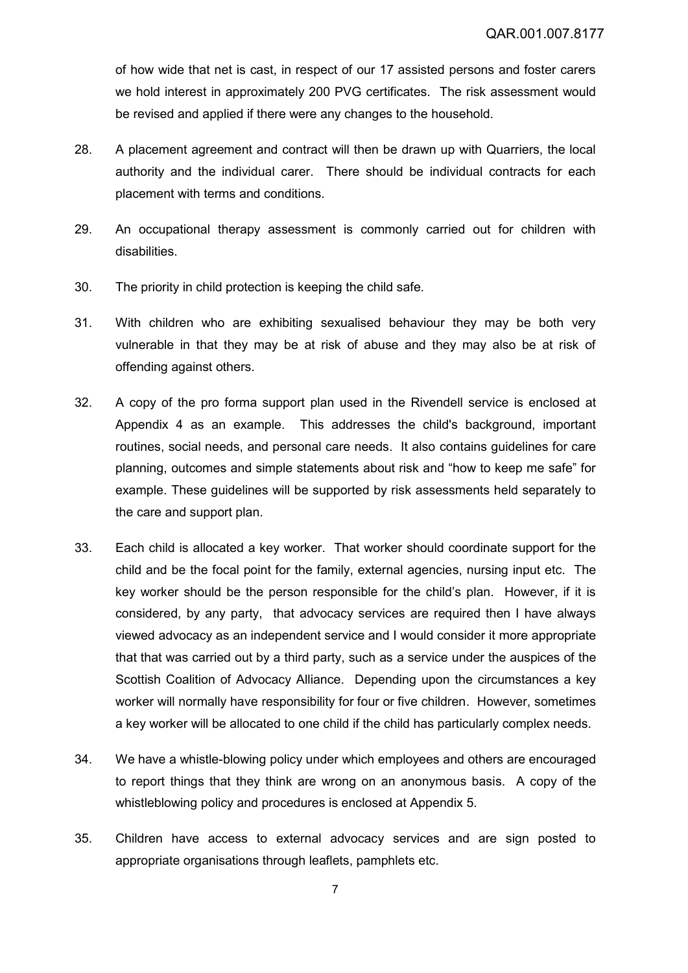of how wide that net is cast, in respect of our 17 assisted persons and foster carers we hold interest in approximately 200 PVG certificates. The risk assessment would be revised and applied if there were any changes to the household.

- 28. A placement agreement and contract will then be drawn up with Quarriers, the local authority and the individual carer. There should be individual contracts for each placement with terms and conditions.
- 29. An occupational therapy assessment is commonly carried out for children with disabilities.
- 30. The priority in child protection is keeping the child safe.
- 31. With children who are exhibiting sexualised behaviour they may be both very vulnerable in that they may be at risk of abuse and they may also be at risk of offending against others.
- 32. A copy of the pro forma support plan used in the Rivendell service is enclosed at Appendix 4 as an example. This addresses the child's background, important routines, social needs, and personal care needs. It also contains guidelines for care planning, outcomes and simple statements about risk and "how to keep me safe" for example. These guidelines will be supported by risk assessments held separately to the care and support plan.
- 33. Each child is allocated a key worker. That worker should coordinate support for the child and be the focal point for the family, external agencies, nursing input etc. The key worker should be the person responsible for the child's plan. However, if it is considered, by any party, that advocacy services are required then I have always viewed advocacy as an independent service and I would consider it more appropriate that that was carried out by a third party, such as a service under the auspices of the Scottish Coalition of Advocacy Alliance. Depending upon the circumstances a key worker will normally have responsibility for four or five children. However, sometimes a key worker will be allocated to one child if the child has particularly complex needs.
- 34. We have a whistle-blowing policy under which employees and others are encouraged to report things that they think are wrong on an anonymous basis. A copy of the whistleblowing policy and procedures is enclosed at Appendix 5.
- 35. Children have access to external advocacy services and are sign posted to appropriate organisations through leaflets, pamphlets etc.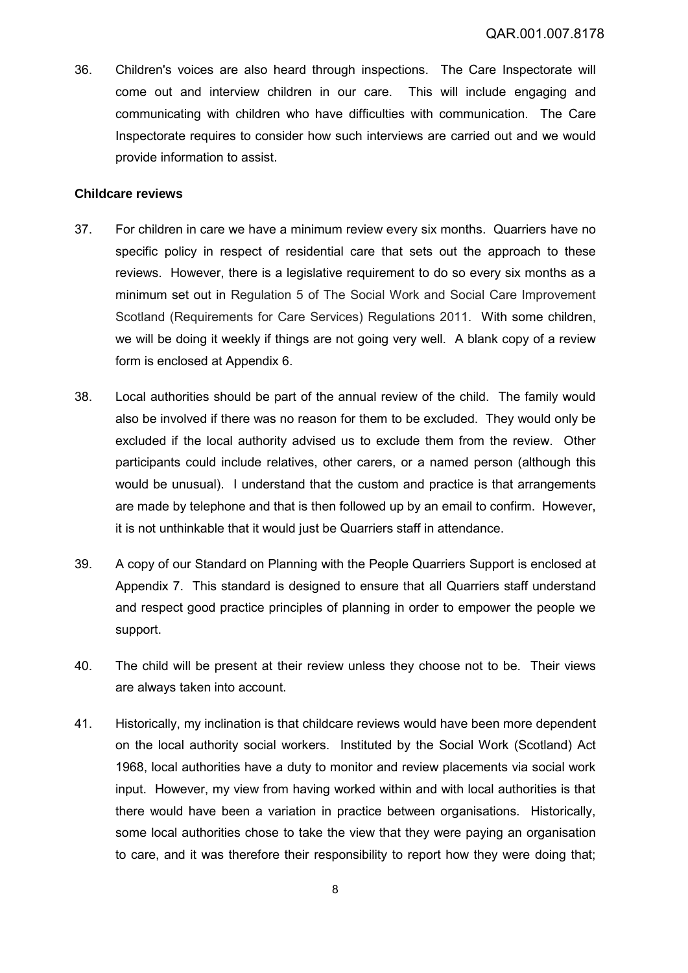36. Children's voices are also heard through inspections. The Care Inspectorate will come out and interview children in our care. This will include engaging and communicating with children who have difficulties with communication. The Care Inspectorate requires to consider how such interviews are carried out and we would provide information to assist.

#### **Childcare reviews**

- 37. For children in care we have a minimum review every six months. Quarriers have no specific policy in respect of residential care that sets out the approach to these reviews. However, there is a legislative requirement to do so every six months as a minimum set out in Regulation 5 of The Social Work and Social Care Improvement Scotland (Requirements for Care Services) Regulations 2011. With some children, we will be doing it weekly if things are not going very well. A blank copy of a review form is enclosed at Appendix 6.
- 38. Local authorities should be part of the annual review of the child. The family would also be involved if there was no reason for them to be excluded. They would only be excluded if the local authority advised us to exclude them from the review. Other participants could include relatives, other carers, or a named person (although this would be unusual). I understand that the custom and practice is that arrangements are made by telephone and that is then followed up by an email to confirm. However, it is not unthinkable that it would just be Quarriers staff in attendance.
- 39. A copy of our Standard on Planning with the People Quarriers Support is enclosed at Appendix 7. This standard is designed to ensure that all Quarriers staff understand and respect good practice principles of planning in order to empower the people we support.
- 40. The child will be present at their review unless they choose not to be. Their views are always taken into account.
- 41. Historically, my inclination is that childcare reviews would have been more dependent on the local authority social workers. Instituted by the Social Work (Scotland) Act 1968, local authorities have a duty to monitor and review placements via social work input. However, my view from having worked within and with local authorities is that there would have been a variation in practice between organisations. Historically, some local authorities chose to take the view that they were paying an organisation to care, and it was therefore their responsibility to report how they were doing that;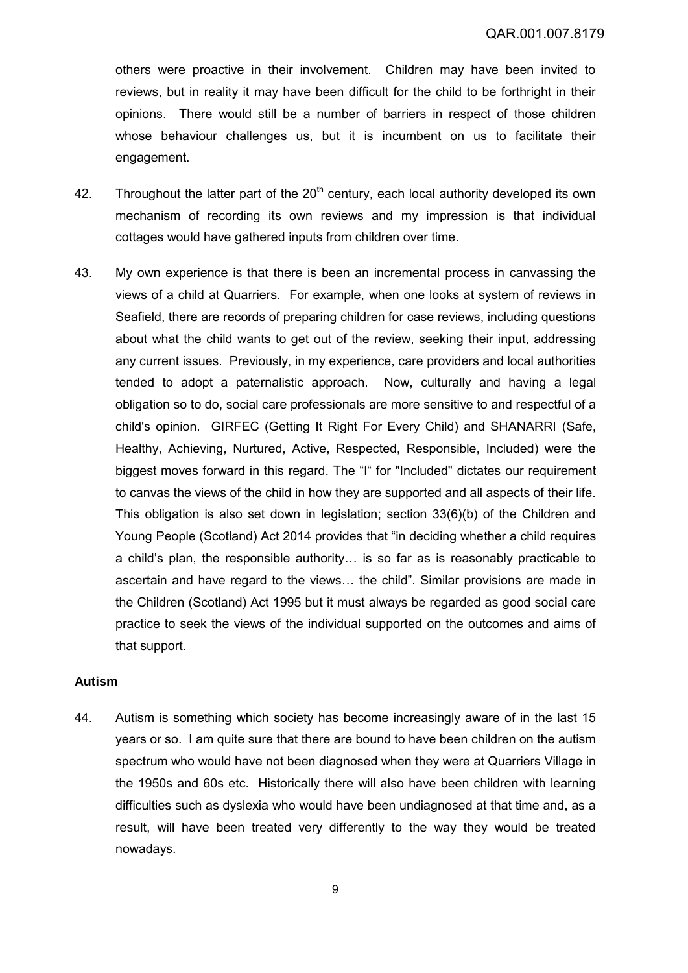others were proactive in their involvement. Children may have been invited to reviews, but in reality it may have been difficult for the child to be forthright in their opinions. There would still be a number of barriers in respect of those children whose behaviour challenges us, but it is incumbent on us to facilitate their engagement.

- 42. Throughout the latter part of the  $20<sup>th</sup>$  century, each local authority developed its own mechanism of recording its own reviews and my impression is that individual cottages would have gathered inputs from children over time.
- 43. My own experience is that there is been an incremental process in canvassing the views of a child at Quarriers. For example, when one looks at system of reviews in Seafield, there are records of preparing children for case reviews, including questions about what the child wants to get out of the review, seeking their input, addressing any current issues. Previously, in my experience, care providers and local authorities tended to adopt a paternalistic approach. Now, culturally and having a legal obligation so to do, social care professionals are more sensitive to and respectful of a child's opinion. GIRFEC (Getting It Right For Every Child) and SHANARRI (Safe, Healthy, Achieving, Nurtured, Active, Respected, Responsible, Included) were the biggest moves forward in this regard. The "I" for "Included" dictates our requirement to canvas the views of the child in how they are supported and all aspects of their life. This obligation is also set down in legislation; section 33(6)(b) of the Children and Young People (Scotland) Act 2014 provides that "in deciding whether a child requires a child's plan, the responsible authority… is so far as is reasonably practicable to ascertain and have regard to the views… the child". Similar provisions are made in the Children (Scotland) Act 1995 but it must always be regarded as good social care practice to seek the views of the individual supported on the outcomes and aims of that support.

### **Autism**

44. Autism is something which society has become increasingly aware of in the last 15 years or so. I am quite sure that there are bound to have been children on the autism spectrum who would have not been diagnosed when they were at Quarriers Village in the 1950s and 60s etc. Historically there will also have been children with learning difficulties such as dyslexia who would have been undiagnosed at that time and, as a result, will have been treated very differently to the way they would be treated nowadays.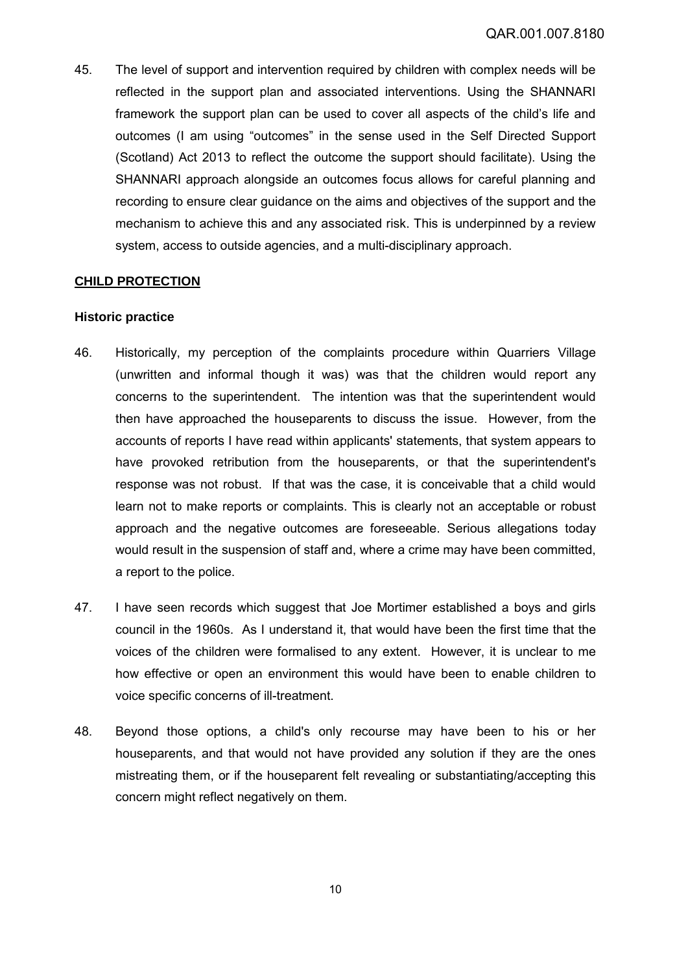45. The level of support and intervention required by children with complex needs will be reflected in the support plan and associated interventions. Using the SHANNARI framework the support plan can be used to cover all aspects of the child's life and outcomes (I am using "outcomes" in the sense used in the Self Directed Support (Scotland) Act 2013 to reflect the outcome the support should facilitate). Using the SHANNARI approach alongside an outcomes focus allows for careful planning and recording to ensure clear guidance on the aims and objectives of the support and the mechanism to achieve this and any associated risk. This is underpinned by a review system, access to outside agencies, and a multi-disciplinary approach.

# **CHILD PROTECTION**

### **Historic practice**

- 46. Historically, my perception of the complaints procedure within Quarriers Village (unwritten and informal though it was) was that the children would report any concerns to the superintendent. The intention was that the superintendent would then have approached the houseparents to discuss the issue. However, from the accounts of reports I have read within applicants' statements, that system appears to have provoked retribution from the houseparents, or that the superintendent's response was not robust. If that was the case, it is conceivable that a child would learn not to make reports or complaints. This is clearly not an acceptable or robust approach and the negative outcomes are foreseeable. Serious allegations today would result in the suspension of staff and, where a crime may have been committed, a report to the police.
- 47. I have seen records which suggest that Joe Mortimer established a boys and girls council in the 1960s. As I understand it, that would have been the first time that the voices of the children were formalised to any extent. However, it is unclear to me how effective or open an environment this would have been to enable children to voice specific concerns of ill-treatment.
- 48. Beyond those options, a child's only recourse may have been to his or her houseparents, and that would not have provided any solution if they are the ones mistreating them, or if the houseparent felt revealing or substantiating/accepting this concern might reflect negatively on them.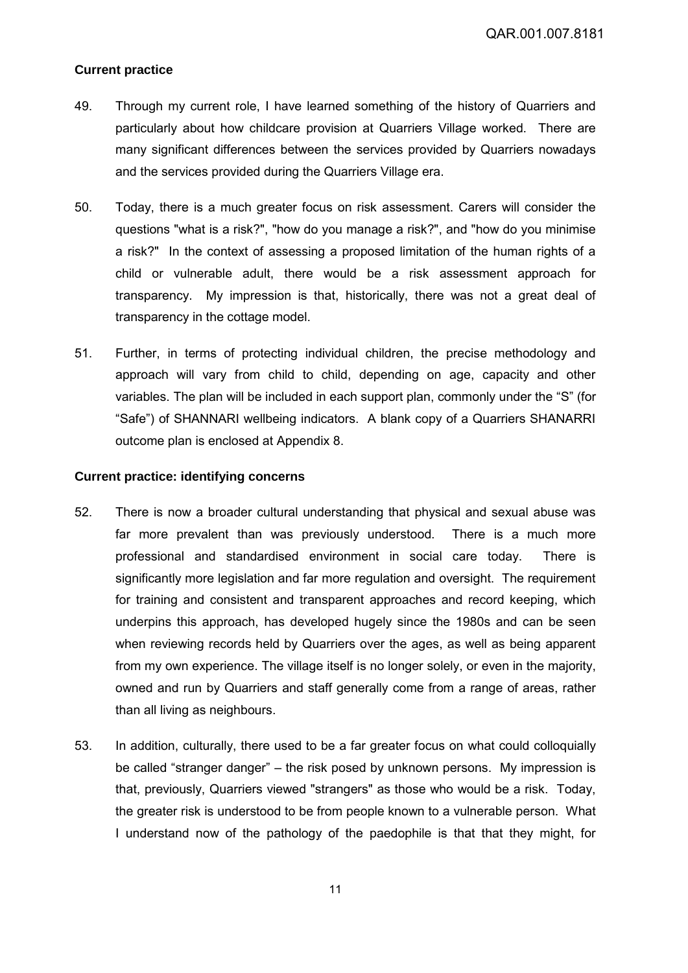# **Current practice**

- 49. Through my current role, I have learned something of the history of Quarriers and particularly about how childcare provision at Quarriers Village worked. There are many significant differences between the services provided by Quarriers nowadays and the services provided during the Quarriers Village era.
- 50. Today, there is a much greater focus on risk assessment. Carers will consider the questions "what is a risk?", "how do you manage a risk?", and "how do you minimise a risk?" In the context of assessing a proposed limitation of the human rights of a child or vulnerable adult, there would be a risk assessment approach for transparency. My impression is that, historically, there was not a great deal of transparency in the cottage model.
- 51. Further, in terms of protecting individual children, the precise methodology and approach will vary from child to child, depending on age, capacity and other variables. The plan will be included in each support plan, commonly under the "S" (for "Safe") of SHANNARI wellbeing indicators. A blank copy of a Quarriers SHANARRI outcome plan is enclosed at Appendix 8.

#### **Current practice: identifying concerns**

- 52. There is now a broader cultural understanding that physical and sexual abuse was far more prevalent than was previously understood. There is a much more professional and standardised environment in social care today. There is significantly more legislation and far more regulation and oversight. The requirement for training and consistent and transparent approaches and record keeping, which underpins this approach, has developed hugely since the 1980s and can be seen when reviewing records held by Quarriers over the ages, as well as being apparent from my own experience. The village itself is no longer solely, or even in the majority, owned and run by Quarriers and staff generally come from a range of areas, rather than all living as neighbours.
- 53. In addition, culturally, there used to be a far greater focus on what could colloquially be called "stranger danger" – the risk posed by unknown persons. My impression is that, previously, Quarriers viewed "strangers" as those who would be a risk. Today, the greater risk is understood to be from people known to a vulnerable person. What I understand now of the pathology of the paedophile is that that they might, for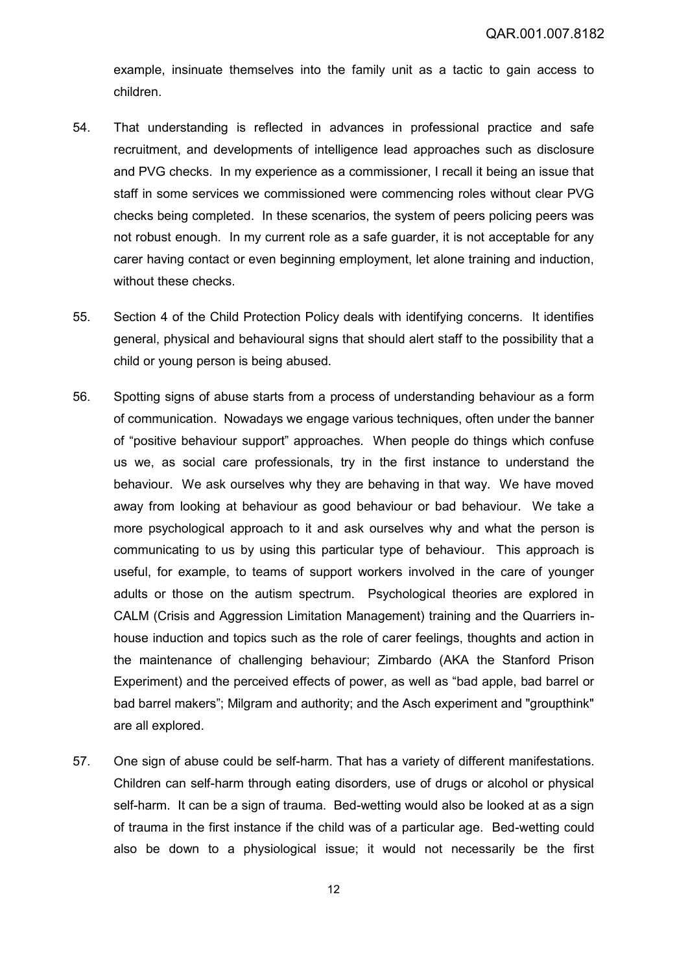example, insinuate themselves into the family unit as a tactic to gain access to children.

- 54. That understanding is reflected in advances in professional practice and safe recruitment, and developments of intelligence lead approaches such as disclosure and PVG checks. In my experience as a commissioner, I recall it being an issue that staff in some services we commissioned were commencing roles without clear PVG checks being completed. In these scenarios, the system of peers policing peers was not robust enough. In my current role as a safe guarder, it is not acceptable for any carer having contact or even beginning employment, let alone training and induction, without these checks.
- 55. Section 4 of the Child Protection Policy deals with identifying concerns. It identifies general, physical and behavioural signs that should alert staff to the possibility that a child or young person is being abused.
- 56. Spotting signs of abuse starts from a process of understanding behaviour as a form of communication. Nowadays we engage various techniques, often under the banner of "positive behaviour support" approaches. When people do things which confuse us we, as social care professionals, try in the first instance to understand the behaviour. We ask ourselves why they are behaving in that way. We have moved away from looking at behaviour as good behaviour or bad behaviour. We take a more psychological approach to it and ask ourselves why and what the person is communicating to us by using this particular type of behaviour. This approach is useful, for example, to teams of support workers involved in the care of younger adults or those on the autism spectrum. Psychological theories are explored in CALM (Crisis and Aggression Limitation Management) training and the Quarriers inhouse induction and topics such as the role of carer feelings, thoughts and action in the maintenance of challenging behaviour; Zimbardo (AKA the Stanford Prison Experiment) and the perceived effects of power, as well as "bad apple, bad barrel or bad barrel makers"; Milgram and authority; and the Asch experiment and "groupthink" are all explored.
- 57. One sign of abuse could be self-harm. That has a variety of different manifestations. Children can self-harm through eating disorders, use of drugs or alcohol or physical self-harm. It can be a sign of trauma. Bed-wetting would also be looked at as a sign of trauma in the first instance if the child was of a particular age. Bed-wetting could also be down to a physiological issue; it would not necessarily be the first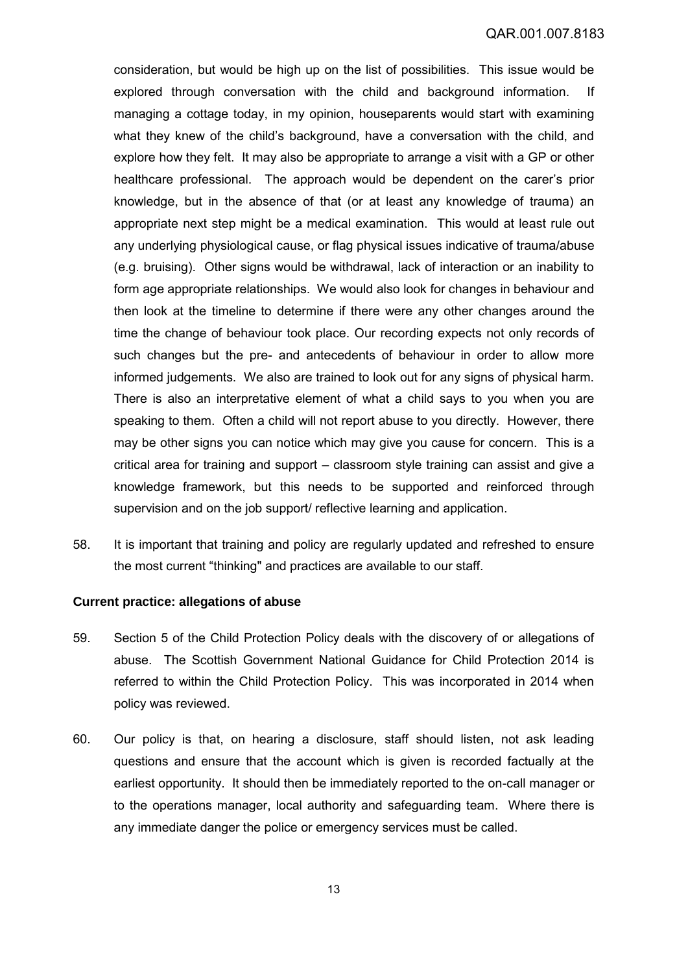consideration, but would be high up on the list of possibilities. This issue would be explored through conversation with the child and background information. If managing a cottage today, in my opinion, houseparents would start with examining what they knew of the child's background, have a conversation with the child, and explore how they felt. It may also be appropriate to arrange a visit with a GP or other healthcare professional. The approach would be dependent on the carer's prior knowledge, but in the absence of that (or at least any knowledge of trauma) an appropriate next step might be a medical examination. This would at least rule out any underlying physiological cause, or flag physical issues indicative of trauma/abuse (e.g. bruising). Other signs would be withdrawal, lack of interaction or an inability to form age appropriate relationships. We would also look for changes in behaviour and then look at the timeline to determine if there were any other changes around the time the change of behaviour took place. Our recording expects not only records of such changes but the pre- and antecedents of behaviour in order to allow more informed judgements. We also are trained to look out for any signs of physical harm. There is also an interpretative element of what a child says to you when you are speaking to them. Often a child will not report abuse to you directly. However, there may be other signs you can notice which may give you cause for concern. This is a critical area for training and support – classroom style training can assist and give a knowledge framework, but this needs to be supported and reinforced through supervision and on the job support/ reflective learning and application.

58. It is important that training and policy are regularly updated and refreshed to ensure the most current "thinking" and practices are available to our staff.

### **Current practice: allegations of abuse**

- 59. Section 5 of the Child Protection Policy deals with the discovery of or allegations of abuse. The Scottish Government National Guidance for Child Protection 2014 is referred to within the Child Protection Policy. This was incorporated in 2014 when policy was reviewed.
- 60. Our policy is that, on hearing a disclosure, staff should listen, not ask leading questions and ensure that the account which is given is recorded factually at the earliest opportunity. It should then be immediately reported to the on-call manager or to the operations manager, local authority and safeguarding team. Where there is any immediate danger the police or emergency services must be called.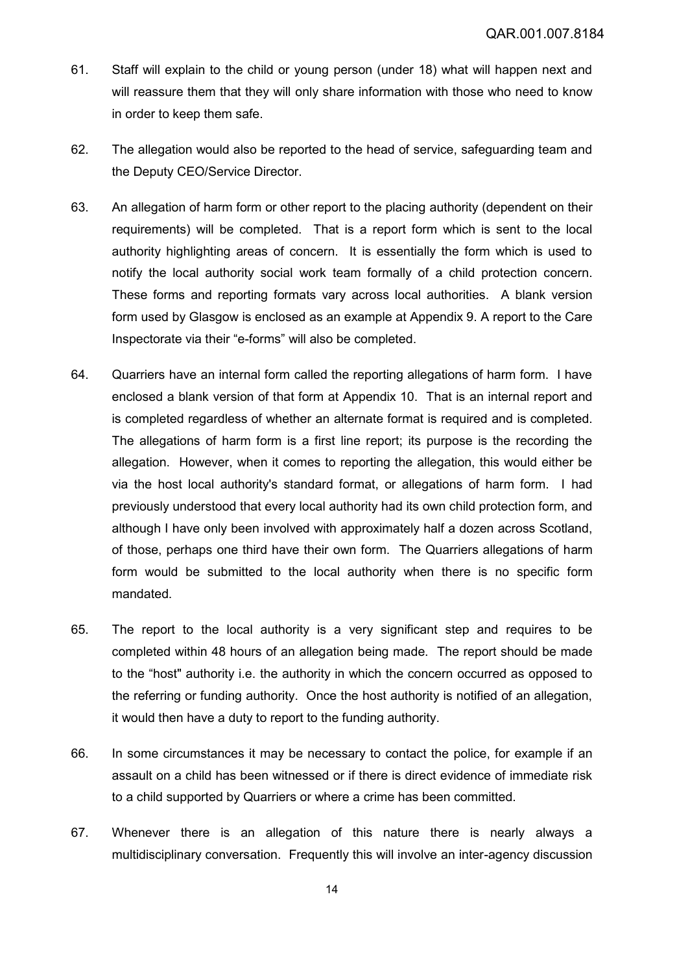- 61. Staff will explain to the child or young person (under 18) what will happen next and will reassure them that they will only share information with those who need to know in order to keep them safe.
- 62. The allegation would also be reported to the head of service, safeguarding team and the Deputy CEO/Service Director.
- 63. An allegation of harm form or other report to the placing authority (dependent on their requirements) will be completed. That is a report form which is sent to the local authority highlighting areas of concern. It is essentially the form which is used to notify the local authority social work team formally of a child protection concern. These forms and reporting formats vary across local authorities. A blank version form used by Glasgow is enclosed as an example at Appendix 9. A report to the Care Inspectorate via their "e-forms" will also be completed.
- 64. Quarriers have an internal form called the reporting allegations of harm form. I have enclosed a blank version of that form at Appendix 10. That is an internal report and is completed regardless of whether an alternate format is required and is completed. The allegations of harm form is a first line report; its purpose is the recording the allegation. However, when it comes to reporting the allegation, this would either be via the host local authority's standard format, or allegations of harm form. I had previously understood that every local authority had its own child protection form, and although I have only been involved with approximately half a dozen across Scotland, of those, perhaps one third have their own form. The Quarriers allegations of harm form would be submitted to the local authority when there is no specific form mandated.
- 65. The report to the local authority is a very significant step and requires to be completed within 48 hours of an allegation being made. The report should be made to the "host" authority i.e. the authority in which the concern occurred as opposed to the referring or funding authority. Once the host authority is notified of an allegation, it would then have a duty to report to the funding authority.
- 66. In some circumstances it may be necessary to contact the police, for example if an assault on a child has been witnessed or if there is direct evidence of immediate risk to a child supported by Quarriers or where a crime has been committed.
- 67. Whenever there is an allegation of this nature there is nearly always a multidisciplinary conversation. Frequently this will involve an inter-agency discussion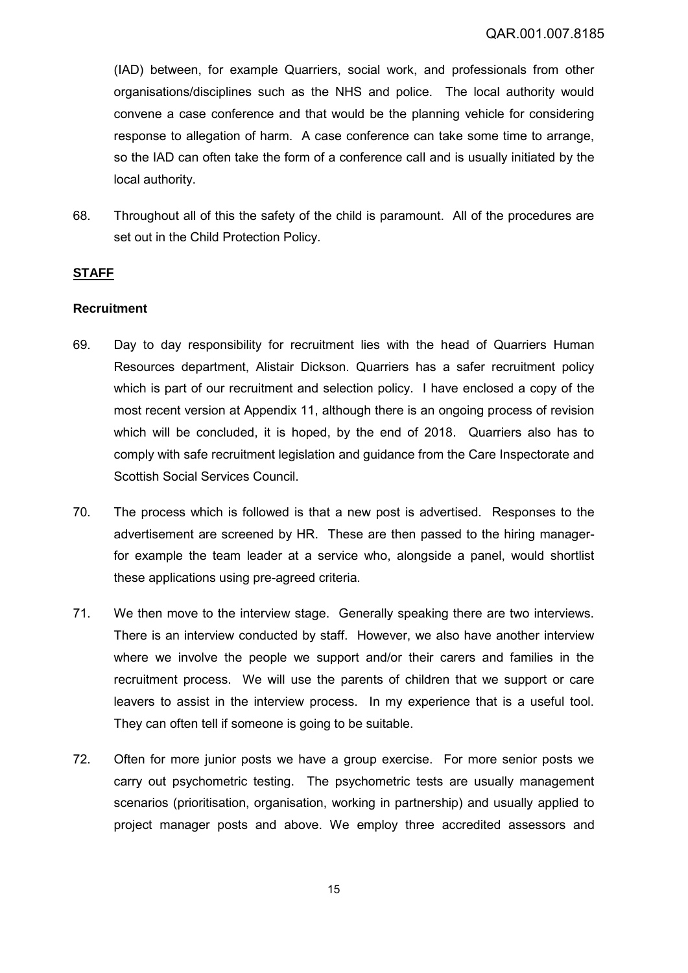(IAD) between, for example Quarriers, social work, and professionals from other organisations/disciplines such as the NHS and police. The local authority would convene a case conference and that would be the planning vehicle for considering response to allegation of harm. A case conference can take some time to arrange, so the IAD can often take the form of a conference call and is usually initiated by the local authority.

68. Throughout all of this the safety of the child is paramount. All of the procedures are set out in the Child Protection Policy.

# **STAFF**

## **Recruitment**

- <span id="page-14-0"></span>69. Day to day responsibility for recruitment lies with the head of Quarriers Human Resources department, Alistair Dickson. Quarriers has a safer recruitment policy which is part of our recruitment and selection policy. I have enclosed a copy of the most recent version at Appendix 11, although there is an ongoing process of revision which will be concluded, it is hoped, by the end of 2018. Quarriers also has to comply with safe recruitment legislation and guidance from the Care Inspectorate and Scottish Social Services Council.
- 70. The process which is followed is that a new post is advertised. Responses to the advertisement are screened by HR. These are then passed to the hiring managerfor example the team leader at a service who, alongside a panel, would shortlist these applications using pre-agreed criteria.
- 71. We then move to the interview stage. Generally speaking there are two interviews. There is an interview conducted by staff. However, we also have another interview where we involve the people we support and/or their carers and families in the recruitment process. We will use the parents of children that we support or care leavers to assist in the interview process. In my experience that is a useful tool. They can often tell if someone is going to be suitable.
- 72. Often for more junior posts we have a group exercise. For more senior posts we carry out psychometric testing. The psychometric tests are usually management scenarios (prioritisation, organisation, working in partnership) and usually applied to project manager posts and above. We employ three accredited assessors and

15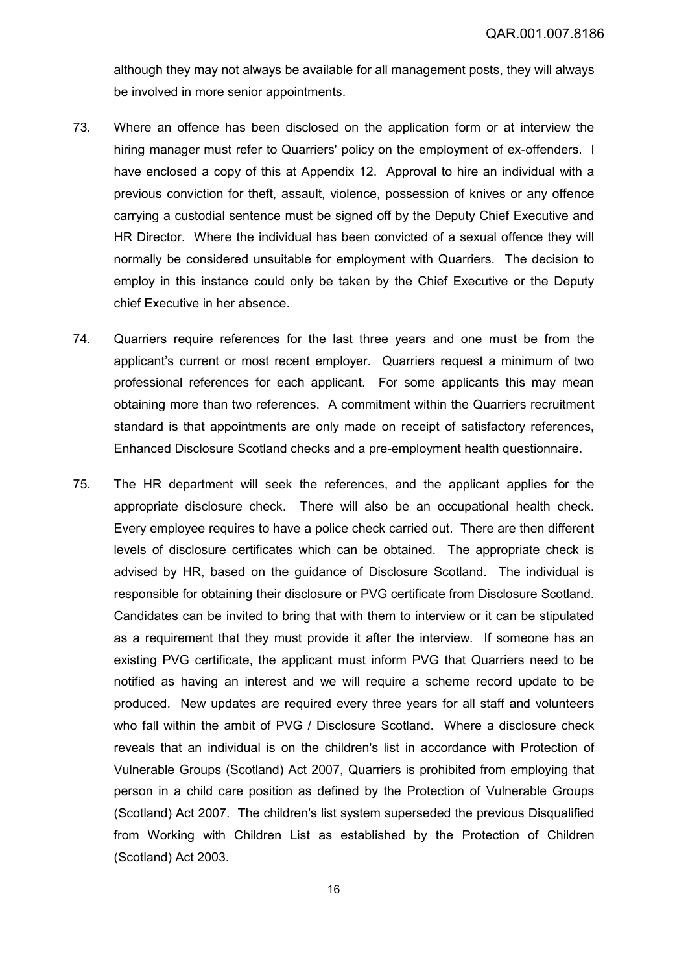although they may not always be available for all management posts, they will always be involved in more senior appointments.

- 73. Where an offence has been disclosed on the application form or at interview the hiring manager must refer to Quarriers' policy on the employment of ex-offenders. I have enclosed a copy of this at Appendix 12. Approval to hire an individual with a previous conviction for theft, assault, violence, possession of knives or any offence carrying a custodial sentence must be signed off by the Deputy Chief Executive and HR Director. Where the individual has been convicted of a sexual offence they will normally be considered unsuitable for employment with Quarriers. The decision to employ in this instance could only be taken by the Chief Executive or the Deputy chief Executive in her absence.
- 74. Quarriers require references for the last three years and one must be from the applicant's current or most recent employer. Quarriers request a minimum of two professional references for each applicant. For some applicants this may mean obtaining more than two references. A commitment within the Quarriers recruitment standard is that appointments are only made on receipt of satisfactory references, Enhanced Disclosure Scotland checks and a pre-employment health questionnaire.
- 75. The HR department will seek the references, and the applicant applies for the appropriate disclosure check. There will also be an occupational health check. Every employee requires to have a police check carried out. There are then different levels of disclosure certificates which can be obtained. The appropriate check is advised by HR, based on the guidance of Disclosure Scotland. The individual is responsible for obtaining their disclosure or PVG certificate from Disclosure Scotland. Candidates can be invited to bring that with them to interview or it can be stipulated as a requirement that they must provide it after the interview. If someone has an existing PVG certificate, the applicant must inform PVG that Quarriers need to be notified as having an interest and we will require a scheme record update to be produced. New updates are required every three years for all staff and volunteers who fall within the ambit of PVG / Disclosure Scotland. Where a disclosure check reveals that an individual is on the children's list in accordance with Protection of Vulnerable Groups (Scotland) Act 2007, Quarriers is prohibited from employing that person in a child care position as defined by the Protection of Vulnerable Groups (Scotland) Act 2007. The children's list system superseded the previous Disqualified from Working with Children List as established by the Protection of Children (Scotland) Act 2003.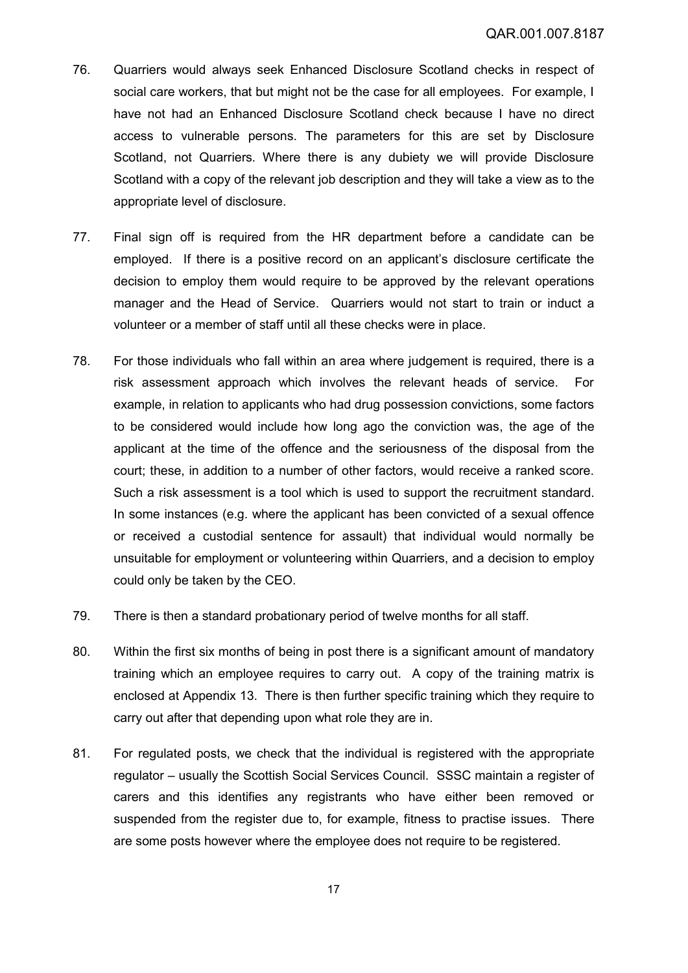- 76. Quarriers would always seek Enhanced Disclosure Scotland checks in respect of social care workers, that but might not be the case for all employees. For example, I have not had an Enhanced Disclosure Scotland check because I have no direct access to vulnerable persons. The parameters for this are set by Disclosure Scotland, not Quarriers. Where there is any dubiety we will provide Disclosure Scotland with a copy of the relevant job description and they will take a view as to the appropriate level of disclosure.
- 77. Final sign off is required from the HR department before a candidate can be employed. If there is a positive record on an applicant's disclosure certificate the decision to employ them would require to be approved by the relevant operations manager and the Head of Service. Quarriers would not start to train or induct a volunteer or a member of staff until all these checks were in place.
- 78. For those individuals who fall within an area where judgement is required, there is a risk assessment approach which involves the relevant heads of service. For example, in relation to applicants who had drug possession convictions, some factors to be considered would include how long ago the conviction was, the age of the applicant at the time of the offence and the seriousness of the disposal from the court; these, in addition to a number of other factors, would receive a ranked score. Such a risk assessment is a tool which is used to support the recruitment standard. In some instances (e.g. where the applicant has been convicted of a sexual offence or received a custodial sentence for assault) that individual would normally be unsuitable for employment or volunteering within Quarriers, and a decision to employ could only be taken by the CEO.
- 79. There is then a standard probationary period of twelve months for all staff.
- 80. Within the first six months of being in post there is a significant amount of mandatory training which an employee requires to carry out. A copy of the training matrix is enclosed at Appendix 13. There is then further specific training which they require to carry out after that depending upon what role they are in.
- 81. For regulated posts, we check that the individual is registered with the appropriate regulator – usually the Scottish Social Services Council. SSSC maintain a register of carers and this identifies any registrants who have either been removed or suspended from the register due to, for example, fitness to practise issues. There are some posts however where the employee does not require to be registered.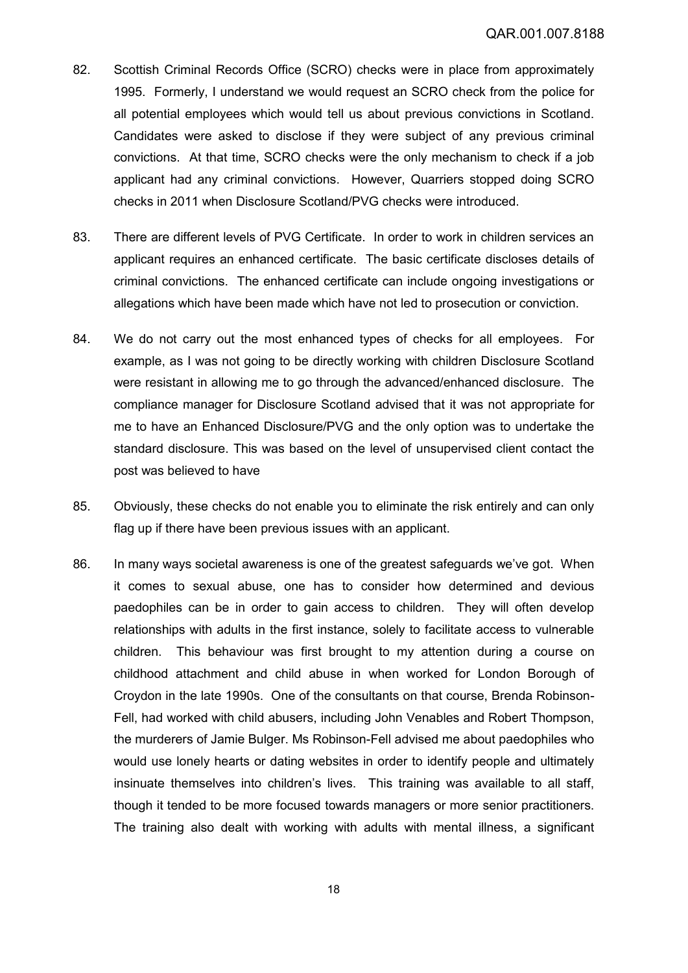- 82. Scottish Criminal Records Office (SCRO) checks were in place from approximately 1995. Formerly, I understand we would request an SCRO check from the police for all potential employees which would tell us about previous convictions in Scotland. Candidates were asked to disclose if they were subject of any previous criminal convictions. At that time, SCRO checks were the only mechanism to check if a job applicant had any criminal convictions. However, Quarriers stopped doing SCRO checks in 2011 when Disclosure Scotland/PVG checks were introduced.
- 83. There are different levels of PVG Certificate. In order to work in children services an applicant requires an enhanced certificate. The basic certificate discloses details of criminal convictions. The enhanced certificate can include ongoing investigations or allegations which have been made which have not led to prosecution or conviction.
- 84. We do not carry out the most enhanced types of checks for all employees. For example, as I was not going to be directly working with children Disclosure Scotland were resistant in allowing me to go through the advanced/enhanced disclosure. The compliance manager for Disclosure Scotland advised that it was not appropriate for me to have an Enhanced Disclosure/PVG and the only option was to undertake the standard disclosure. This was based on the level of unsupervised client contact the post was believed to have
- 85. Obviously, these checks do not enable you to eliminate the risk entirely and can only flag up if there have been previous issues with an applicant.
- 86. In many ways societal awareness is one of the greatest safeguards we've got. When it comes to sexual abuse, one has to consider how determined and devious paedophiles can be in order to gain access to children. They will often develop relationships with adults in the first instance, solely to facilitate access to vulnerable children. This behaviour was first brought to my attention during a course on childhood attachment and child abuse in when worked for London Borough of Croydon in the late 1990s. One of the consultants on that course, Brenda Robinson-Fell, had worked with child abusers, including John Venables and Robert Thompson, the murderers of Jamie Bulger. Ms Robinson-Fell advised me about paedophiles who would use lonely hearts or dating websites in order to identify people and ultimately insinuate themselves into children's lives. This training was available to all staff, though it tended to be more focused towards managers or more senior practitioners. The training also dealt with working with adults with mental illness, a significant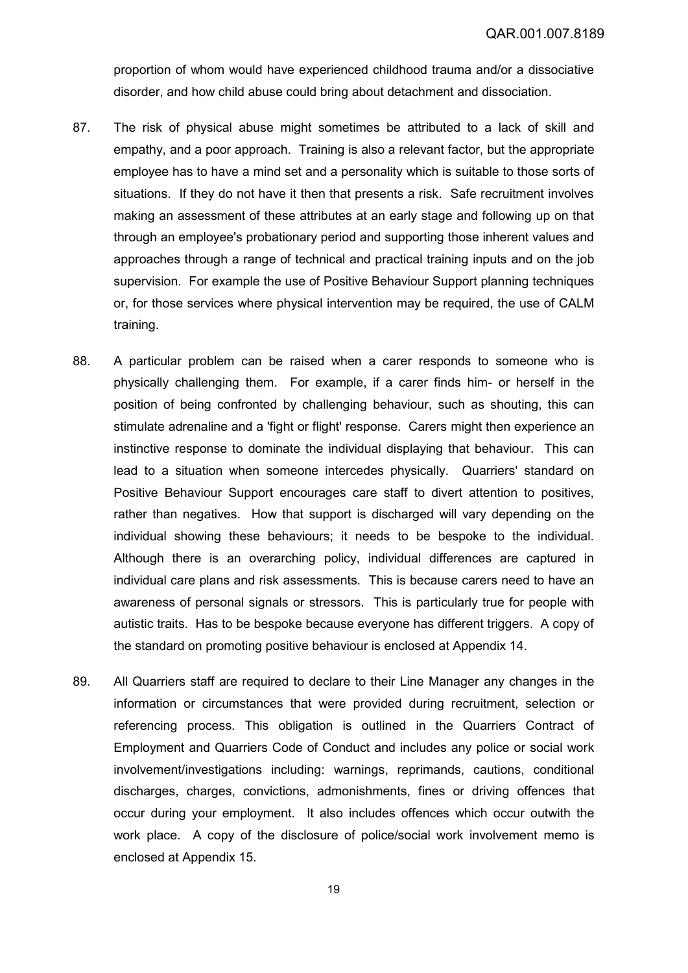proportion of whom would have experienced childhood trauma and/or a dissociative disorder, and how child abuse could bring about detachment and dissociation.

- 87. The risk of physical abuse might sometimes be attributed to a lack of skill and empathy, and a poor approach. Training is also a relevant factor, but the appropriate employee has to have a mind set and a personality which is suitable to those sorts of situations. If they do not have it then that presents a risk. Safe recruitment involves making an assessment of these attributes at an early stage and following up on that through an employee's probationary period and supporting those inherent values and approaches through a range of technical and practical training inputs and on the job supervision. For example the use of Positive Behaviour Support planning techniques or, for those services where physical intervention may be required, the use of CALM training.
- 88. A particular problem can be raised when a carer responds to someone who is physically challenging them. For example, if a carer finds him- or herself in the position of being confronted by challenging behaviour, such as shouting, this can stimulate adrenaline and a 'fight or flight' response. Carers might then experience an instinctive response to dominate the individual displaying that behaviour. This can lead to a situation when someone intercedes physically. Quarriers' standard on Positive Behaviour Support encourages care staff to divert attention to positives, rather than negatives. How that support is discharged will vary depending on the individual showing these behaviours; it needs to be bespoke to the individual. Although there is an overarching policy, individual differences are captured in individual care plans and risk assessments. This is because carers need to have an awareness of personal signals or stressors. This is particularly true for people with autistic traits. Has to be bespoke because everyone has different triggers. A copy of the standard on promoting positive behaviour is enclosed at Appendix 14.
- <span id="page-18-0"></span>89. All Quarriers staff are required to declare to their Line Manager any changes in the information or circumstances that were provided during recruitment, selection or referencing process. This obligation is outlined in the Quarriers Contract of Employment and Quarriers Code of Conduct and includes any police or social work involvement/investigations including: warnings, reprimands, cautions, conditional discharges, charges, convictions, admonishments, fines or driving offences that occur during your employment. It also includes offences which occur outwith the work place. A copy of the disclosure of police/social work involvement memo is enclosed at Appendix 15.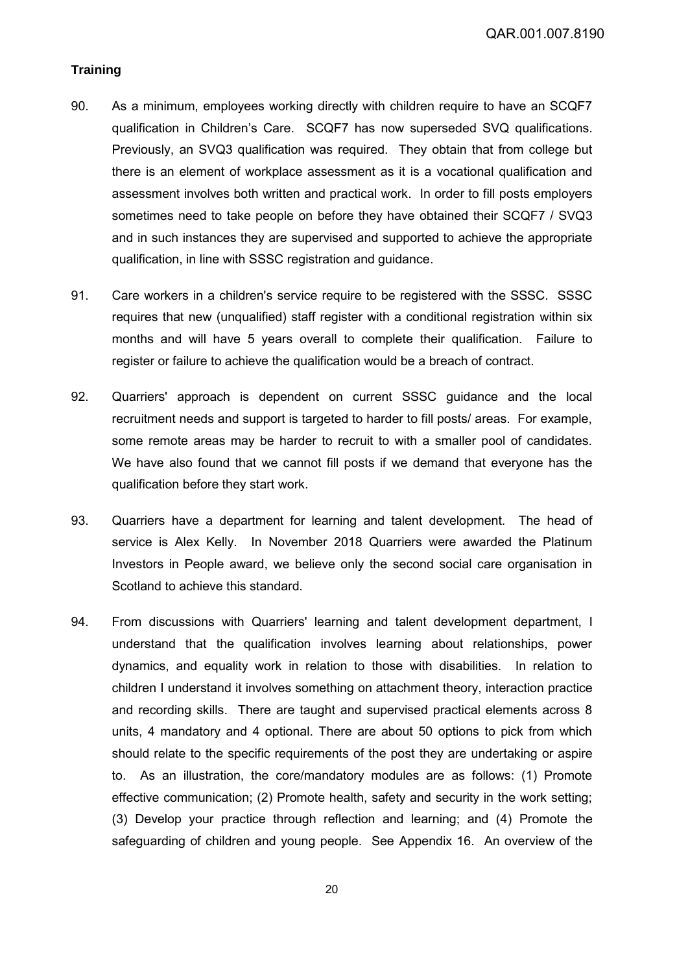# **Training**

- 90. As a minimum, employees working directly with children require to have an SCQF7 qualification in Children's Care. SCQF7 has now superseded SVQ qualifications. Previously, an SVQ3 qualification was required. They obtain that from college but there is an element of workplace assessment as it is a vocational qualification and assessment involves both written and practical work. In order to fill posts employers sometimes need to take people on before they have obtained their SCQF7 / SVQ3 and in such instances they are supervised and supported to achieve the appropriate qualification, in line with SSSC registration and guidance.
- 91. Care workers in a children's service require to be registered with the SSSC. SSSC requires that new (unqualified) staff register with a conditional registration within six months and will have 5 years overall to complete their qualification. Failure to register or failure to achieve the qualification would be a breach of contract.
- 92. Quarriers' approach is dependent on current SSSC guidance and the local recruitment needs and support is targeted to harder to fill posts/ areas. For example, some remote areas may be harder to recruit to with a smaller pool of candidates. We have also found that we cannot fill posts if we demand that everyone has the qualification before they start work.
- 93. Quarriers have a department for learning and talent development. The head of service is Alex Kelly. In November 2018 Quarriers were awarded the Platinum Investors in People award, we believe only the second social care organisation in Scotland to achieve this standard.
- 94. From discussions with Quarriers' learning and talent development department, I understand that the qualification involves learning about relationships, power dynamics, and equality work in relation to those with disabilities. In relation to children I understand it involves something on attachment theory, interaction practice and recording skills. There are taught and supervised practical elements across 8 units, 4 mandatory and 4 optional. There are about 50 options to pick from which should relate to the specific requirements of the post they are undertaking or aspire to. As an illustration, the core/mandatory modules are as follows: (1) Promote effective communication; (2) Promote health, safety and security in the work setting; (3) Develop your practice through reflection and learning; and (4) Promote the safeguarding of children and young people. See Appendix 16. An overview of the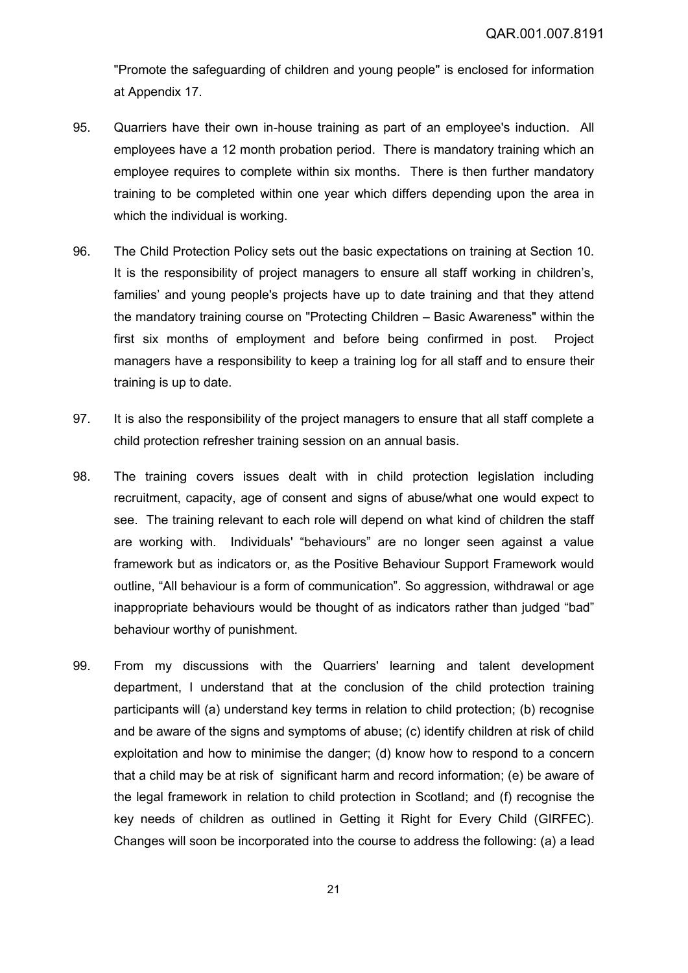"Promote the safeguarding of children and young people" is enclosed for information at Appendix 17.

- 95. Quarriers have their own in-house training as part of an employee's induction. All employees have a 12 month probation period. There is mandatory training which an employee requires to complete within six months. There is then further mandatory training to be completed within one year which differs depending upon the area in which the individual is working.
- 96. The Child Protection Policy sets out the basic expectations on training at Section 10. It is the responsibility of project managers to ensure all staff working in children's, families' and young people's projects have up to date training and that they attend the mandatory training course on "Protecting Children – Basic Awareness" within the first six months of employment and before being confirmed in post. Project managers have a responsibility to keep a training log for all staff and to ensure their training is up to date.
- 97. It is also the responsibility of the project managers to ensure that all staff complete a child protection refresher training session on an annual basis.
- 98. The training covers issues dealt with in child protection legislation including recruitment, capacity, age of consent and signs of abuse/what one would expect to see. The training relevant to each role will depend on what kind of children the staff are working with. Individuals' "behaviours" are no longer seen against a value framework but as indicators or, as the Positive Behaviour Support Framework would outline, "All behaviour is a form of communication". So aggression, withdrawal or age inappropriate behaviours would be thought of as indicators rather than judged "bad" behaviour worthy of punishment.
- 99. From my discussions with the Quarriers' learning and talent development department, I understand that at the conclusion of the child protection training participants will (a) understand key terms in relation to child protection; (b) recognise and be aware of the signs and symptoms of abuse; (c) identify children at risk of child exploitation and how to minimise the danger; (d) know how to respond to a concern that a child may be at risk of significant harm and record information; (e) be aware of the legal framework in relation to child protection in Scotland; and (f) recognise the key needs of children as outlined in Getting it Right for Every Child (GIRFEC). Changes will soon be incorporated into the course to address the following: (a) a lead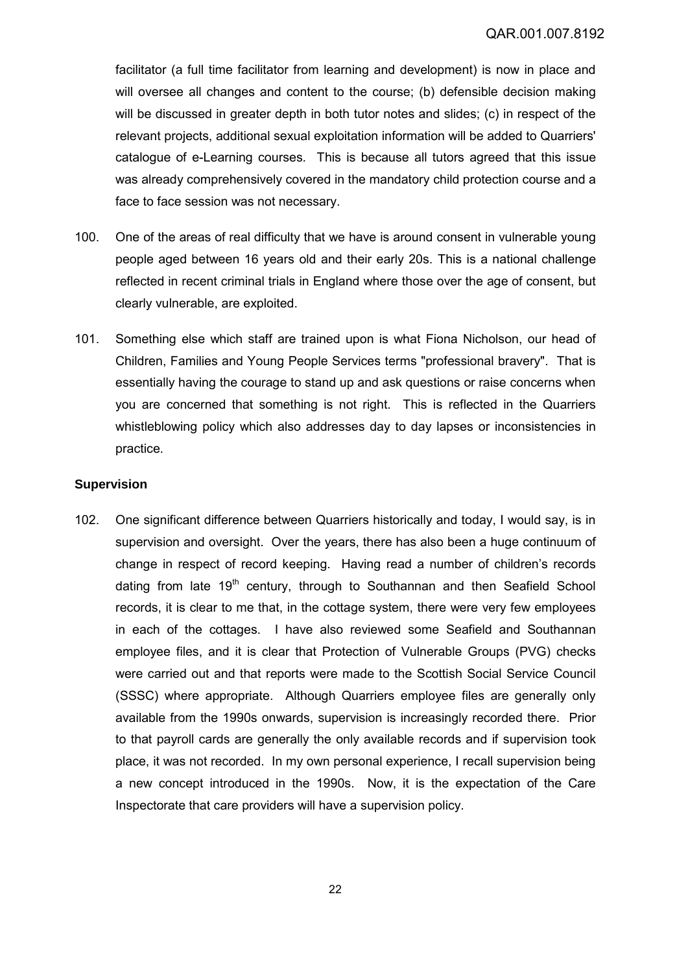facilitator (a full time facilitator from learning and development) is now in place and will oversee all changes and content to the course; (b) defensible decision making will be discussed in greater depth in both tutor notes and slides; (c) in respect of the relevant projects, additional sexual exploitation information will be added to Quarriers' catalogue of e-Learning courses. This is because all tutors agreed that this issue was already comprehensively covered in the mandatory child protection course and a face to face session was not necessary.

- 100. One of the areas of real difficulty that we have is around consent in vulnerable young people aged between 16 years old and their early 20s. This is a national challenge reflected in recent criminal trials in England where those over the age of consent, but clearly vulnerable, are exploited.
- 101. Something else which staff are trained upon is what Fiona Nicholson, our head of Children, Families and Young People Services terms "professional bravery". That is essentially having the courage to stand up and ask questions or raise concerns when you are concerned that something is not right. This is reflected in the Quarriers whistleblowing policy which also addresses day to day lapses or inconsistencies in practice.

### **Supervision**

102. One significant difference between Quarriers historically and today, I would say, is in supervision and oversight. Over the years, there has also been a huge continuum of change in respect of record keeping. Having read a number of children's records dating from late  $19<sup>th</sup>$  century, through to Southannan and then Seafield School records, it is clear to me that, in the cottage system, there were very few employees in each of the cottages. I have also reviewed some Seafield and Southannan employee files, and it is clear that Protection of Vulnerable Groups (PVG) checks were carried out and that reports were made to the Scottish Social Service Council (SSSC) where appropriate. Although Quarriers employee files are generally only available from the 1990s onwards, supervision is increasingly recorded there. Prior to that payroll cards are generally the only available records and if supervision took place, it was not recorded. In my own personal experience, I recall supervision being a new concept introduced in the 1990s. Now, it is the expectation of the Care Inspectorate that care providers will have a supervision policy.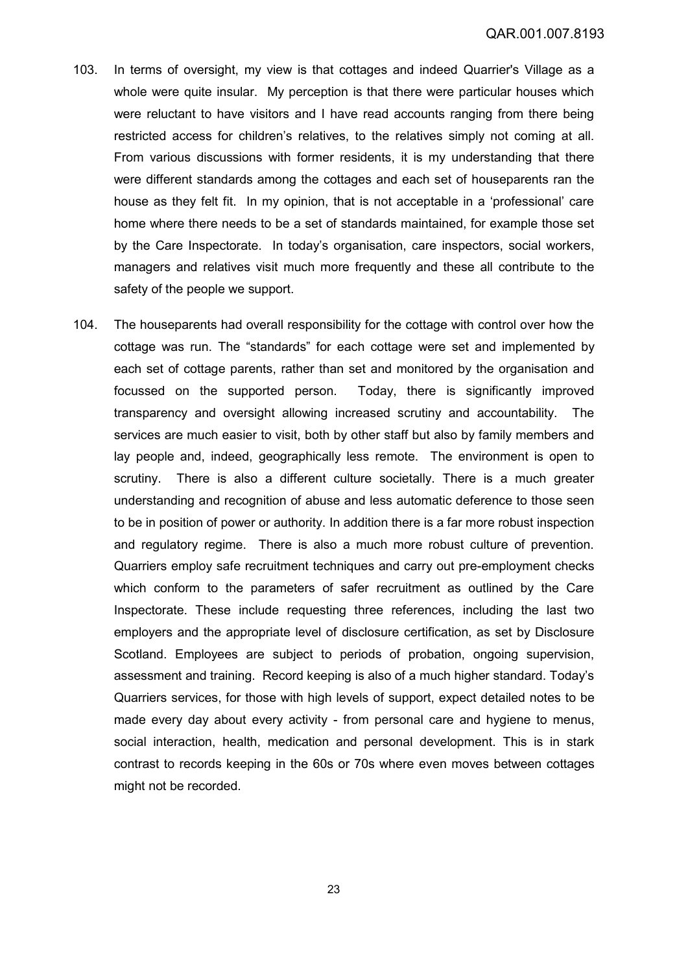- 103. In terms of oversight, my view is that cottages and indeed Quarrier's Village as a whole were quite insular. My perception is that there were particular houses which were reluctant to have visitors and I have read accounts ranging from there being restricted access for children's relatives, to the relatives simply not coming at all. From various discussions with former residents, it is my understanding that there were different standards among the cottages and each set of houseparents ran the house as they felt fit. In my opinion, that is not acceptable in a 'professional' care home where there needs to be a set of standards maintained, for example those set by the Care Inspectorate. In today's organisation, care inspectors, social workers, managers and relatives visit much more frequently and these all contribute to the safety of the people we support.
- 104. The houseparents had overall responsibility for the cottage with control over how the cottage was run. The "standards" for each cottage were set and implemented by each set of cottage parents, rather than set and monitored by the organisation and focussed on the supported person. Today, there is significantly improved transparency and oversight allowing increased scrutiny and accountability. The services are much easier to visit, both by other staff but also by family members and lay people and, indeed, geographically less remote. The environment is open to scrutiny. There is also a different culture societally. There is a much greater understanding and recognition of abuse and less automatic deference to those seen to be in position of power or authority. In addition there is a far more robust inspection and regulatory regime. There is also a much more robust culture of prevention. Quarriers employ safe recruitment techniques and carry out pre-employment checks which conform to the parameters of safer recruitment as outlined by the Care Inspectorate. These include requesting three references, including the last two employers and the appropriate level of disclosure certification, as set by Disclosure Scotland. Employees are subject to periods of probation, ongoing supervision, assessment and training. Record keeping is also of a much higher standard. Today's Quarriers services, for those with high levels of support, expect detailed notes to be made every day about every activity - from personal care and hygiene to menus, social interaction, health, medication and personal development. This is in stark contrast to records keeping in the 60s or 70s where even moves between cottages might not be recorded.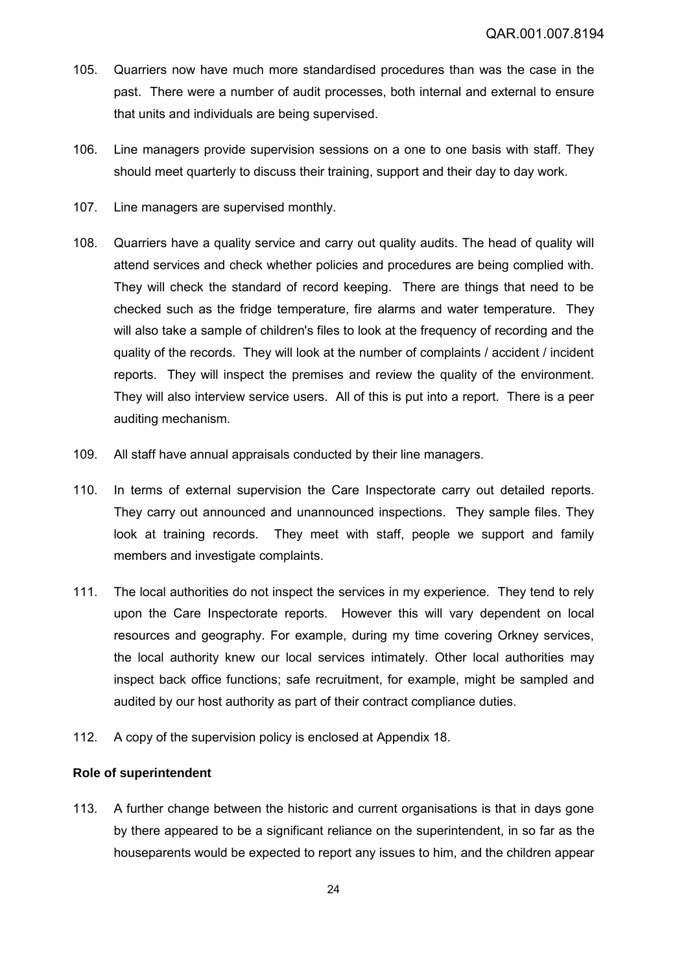- 105. Quarriers now have much more standardised procedures than was the case in the past. There were a number of audit processes, both internal and external to ensure that units and individuals are being supervised.
- 106. Line managers provide supervision sessions on a one to one basis with staff. They should meet quarterly to discuss their training, support and their day to day work.
- 107. Line managers are supervised monthly.
- 108. Quarriers have a quality service and carry out quality audits. The head of quality will attend services and check whether policies and procedures are being complied with. They will check the standard of record keeping. There are things that need to be checked such as the fridge temperature, fire alarms and water temperature. They will also take a sample of children's files to look at the frequency of recording and the quality of the records. They will look at the number of complaints / accident / incident reports. They will inspect the premises and review the quality of the environment. They will also interview service users. All of this is put into a report. There is a peer auditing mechanism.
- 109. All staff have annual appraisals conducted by their line managers.
- 110. In terms of external supervision the Care Inspectorate carry out detailed reports. They carry out announced and unannounced inspections. They sample files. They look at training records. They meet with staff, people we support and family members and investigate complaints.
- 111. The local authorities do not inspect the services in my experience. They tend to rely upon the Care Inspectorate reports. However this will vary dependent on local resources and geography. For example, during my time covering Orkney services, the local authority knew our local services intimately. Other local authorities may inspect back office functions; safe recruitment, for example, might be sampled and audited by our host authority as part of their contract compliance duties.
- 112. A copy of the supervision policy is enclosed at Appendix 18.

### **Role of superintendent**

113. A further change between the historic and current organisations is that in days gone by there appeared to be a significant reliance on the superintendent, in so far as the houseparents would be expected to report any issues to him, and the children appear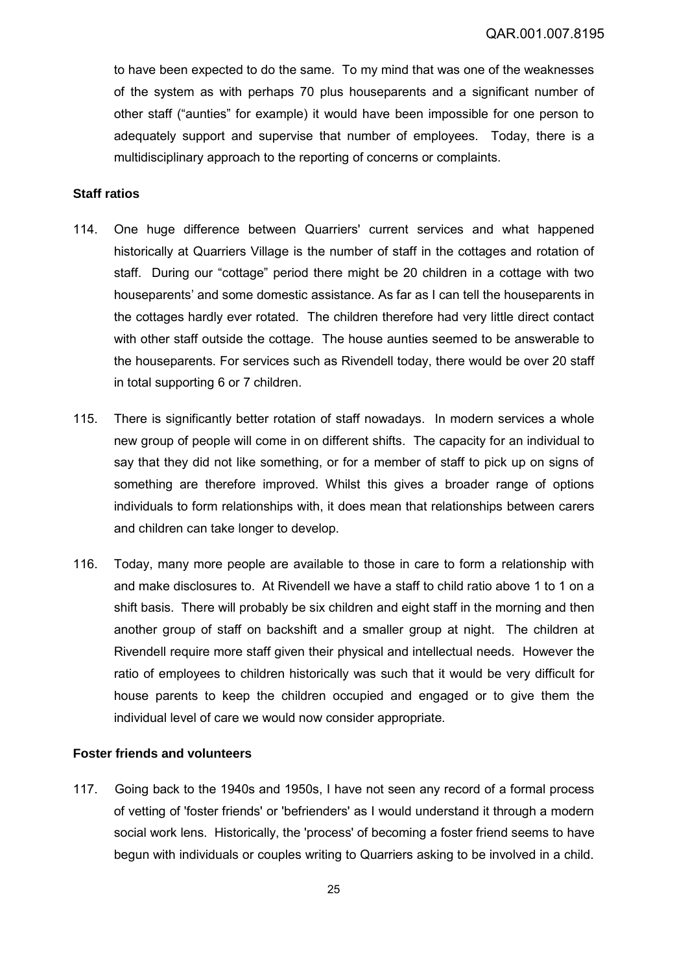to have been expected to do the same. To my mind that was one of the weaknesses of the system as with perhaps 70 plus houseparents and a significant number of other staff ("aunties" for example) it would have been impossible for one person to adequately support and supervise that number of employees. Today, there is a multidisciplinary approach to the reporting of concerns or complaints.

## **Staff ratios**

- 114. One huge difference between Quarriers' current services and what happened historically at Quarriers Village is the number of staff in the cottages and rotation of staff. During our "cottage" period there might be 20 children in a cottage with two houseparents' and some domestic assistance. As far as I can tell the houseparents in the cottages hardly ever rotated. The children therefore had very little direct contact with other staff outside the cottage. The house aunties seemed to be answerable to the houseparents. For services such as Rivendell today, there would be over 20 staff in total supporting 6 or 7 children.
- 115. There is significantly better rotation of staff nowadays. In modern services a whole new group of people will come in on different shifts. The capacity for an individual to say that they did not like something, or for a member of staff to pick up on signs of something are therefore improved. Whilst this gives a broader range of options individuals to form relationships with, it does mean that relationships between carers and children can take longer to develop.
- 116. Today, many more people are available to those in care to form a relationship with and make disclosures to. At Rivendell we have a staff to child ratio above 1 to 1 on a shift basis. There will probably be six children and eight staff in the morning and then another group of staff on backshift and a smaller group at night. The children at Rivendell require more staff given their physical and intellectual needs. However the ratio of employees to children historically was such that it would be very difficult for house parents to keep the children occupied and engaged or to give them the individual level of care we would now consider appropriate.

# **Foster friends and volunteers**

117. Going back to the 1940s and 1950s, I have not seen any record of a formal process of vetting of 'foster friends' or 'befrienders' as I would understand it through a modern social work lens. Historically, the 'process' of becoming a foster friend seems to have begun with individuals or couples writing to Quarriers asking to be involved in a child.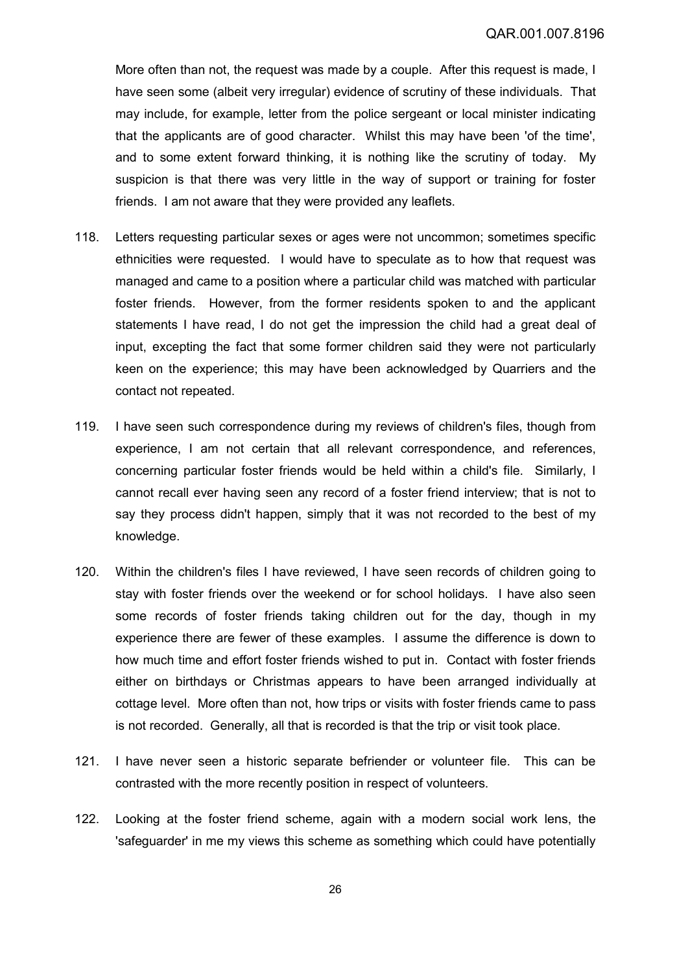More often than not, the request was made by a couple. After this request is made, I have seen some (albeit very irregular) evidence of scrutiny of these individuals. That may include, for example, letter from the police sergeant or local minister indicating that the applicants are of good character. Whilst this may have been 'of the time', and to some extent forward thinking, it is nothing like the scrutiny of today. My suspicion is that there was very little in the way of support or training for foster friends. I am not aware that they were provided any leaflets.

- 118. Letters requesting particular sexes or ages were not uncommon; sometimes specific ethnicities were requested. I would have to speculate as to how that request was managed and came to a position where a particular child was matched with particular foster friends. However, from the former residents spoken to and the applicant statements I have read, I do not get the impression the child had a great deal of input, excepting the fact that some former children said they were not particularly keen on the experience; this may have been acknowledged by Quarriers and the contact not repeated.
- 119. I have seen such correspondence during my reviews of children's files, though from experience, I am not certain that all relevant correspondence, and references, concerning particular foster friends would be held within a child's file. Similarly, I cannot recall ever having seen any record of a foster friend interview; that is not to say they process didn't happen, simply that it was not recorded to the best of my knowledge.
- 120. Within the children's files I have reviewed, I have seen records of children going to stay with foster friends over the weekend or for school holidays. I have also seen some records of foster friends taking children out for the day, though in my experience there are fewer of these examples. I assume the difference is down to how much time and effort foster friends wished to put in. Contact with foster friends either on birthdays or Christmas appears to have been arranged individually at cottage level. More often than not, how trips or visits with foster friends came to pass is not recorded. Generally, all that is recorded is that the trip or visit took place.
- 121. I have never seen a historic separate befriender or volunteer file. This can be contrasted with the more recently position in respect of volunteers.
- 122. Looking at the foster friend scheme, again with a modern social work lens, the 'safeguarder' in me my views this scheme as something which could have potentially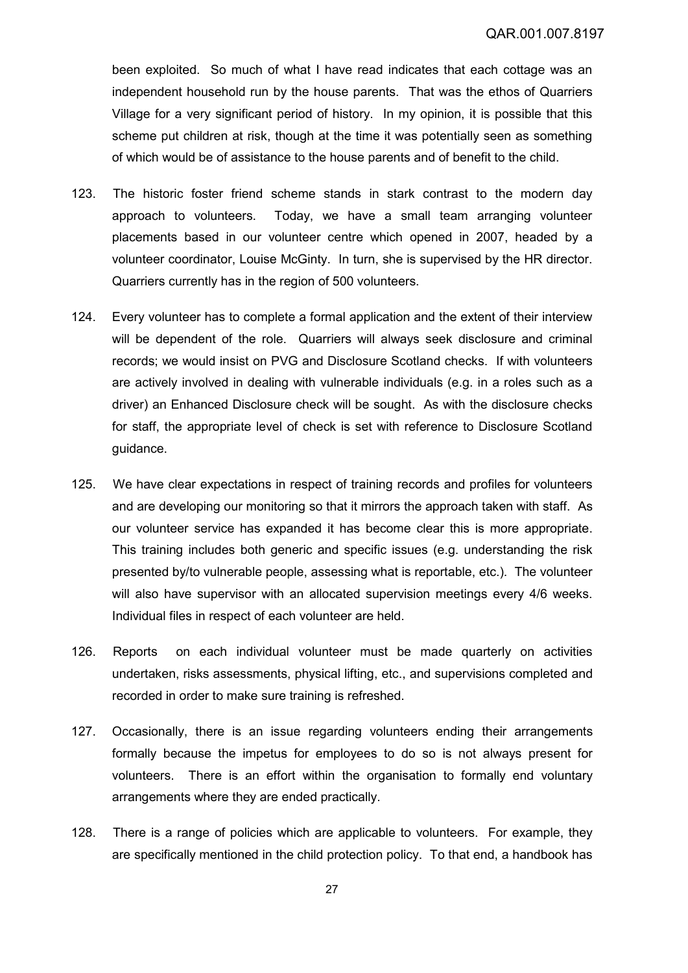been exploited. So much of what I have read indicates that each cottage was an independent household run by the house parents. That was the ethos of Quarriers Village for a very significant period of history. In my opinion, it is possible that this scheme put children at risk, though at the time it was potentially seen as something of which would be of assistance to the house parents and of benefit to the child.

- 123. The historic foster friend scheme stands in stark contrast to the modern day approach to volunteers. Today, we have a small team arranging volunteer placements based in our volunteer centre which opened in 2007, headed by a volunteer coordinator, Louise McGinty. In turn, she is supervised by the HR director. Quarriers currently has in the region of 500 volunteers.
- 124. Every volunteer has to complete a formal application and the extent of their interview will be dependent of the role. Quarriers will always seek disclosure and criminal records; we would insist on PVG and Disclosure Scotland checks. If with volunteers are actively involved in dealing with vulnerable individuals (e.g. in a roles such as a driver) an Enhanced Disclosure check will be sought. As with the disclosure checks for staff, the appropriate level of check is set with reference to Disclosure Scotland guidance.
- 125. We have clear expectations in respect of training records and profiles for volunteers and are developing our monitoring so that it mirrors the approach taken with staff. As our volunteer service has expanded it has become clear this is more appropriate. This training includes both generic and specific issues (e.g. understanding the risk presented by/to vulnerable people, assessing what is reportable, etc.). The volunteer will also have supervisor with an allocated supervision meetings every 4/6 weeks. Individual files in respect of each volunteer are held.
- 126. Reports on each individual volunteer must be made quarterly on activities undertaken, risks assessments, physical lifting, etc., and supervisions completed and recorded in order to make sure training is refreshed.
- 127. Occasionally, there is an issue regarding volunteers ending their arrangements formally because the impetus for employees to do so is not always present for volunteers. There is an effort within the organisation to formally end voluntary arrangements where they are ended practically.
- 128. There is a range of policies which are applicable to volunteers. For example, they are specifically mentioned in the child protection policy. To that end, a handbook has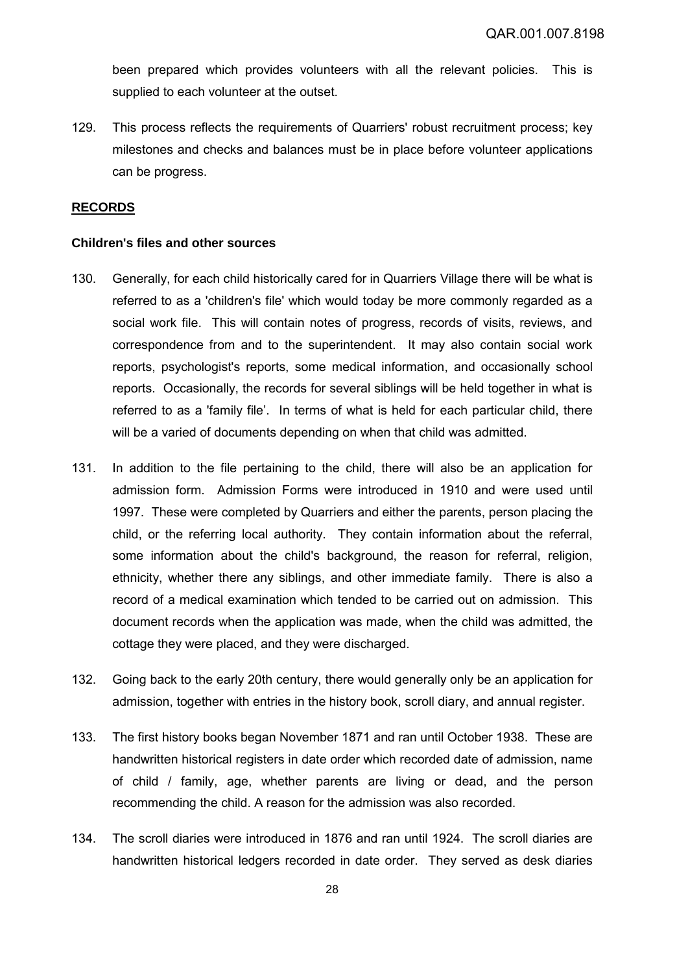been prepared which provides volunteers with all the relevant policies. This is supplied to each volunteer at the outset.

129. This process reflects the requirements of Quarriers' robust recruitment process; key milestones and checks and balances must be in place before volunteer applications can be progress.

### **RECORDS**

#### **Children's files and other sources**

- 130. Generally, for each child historically cared for in Quarriers Village there will be what is referred to as a 'children's file' which would today be more commonly regarded as a social work file. This will contain notes of progress, records of visits, reviews, and correspondence from and to the superintendent. It may also contain social work reports, psychologist's reports, some medical information, and occasionally school reports. Occasionally, the records for several siblings will be held together in what is referred to as a 'family file'. In terms of what is held for each particular child, there will be a varied of documents depending on when that child was admitted.
- 131. In addition to the file pertaining to the child, there will also be an application for admission form. Admission Forms were introduced in 1910 and were used until 1997. These were completed by Quarriers and either the parents, person placing the child, or the referring local authority. They contain information about the referral, some information about the child's background, the reason for referral, religion, ethnicity, whether there any siblings, and other immediate family. There is also a record of a medical examination which tended to be carried out on admission. This document records when the application was made, when the child was admitted, the cottage they were placed, and they were discharged.
- 132. Going back to the early 20th century, there would generally only be an application for admission, together with entries in the history book, scroll diary, and annual register.
- 133. The first history books began November 1871 and ran until October 1938. These are handwritten historical registers in date order which recorded date of admission, name of child / family, age, whether parents are living or dead, and the person recommending the child. A reason for the admission was also recorded.
- 134. The scroll diaries were introduced in 1876 and ran until 1924. The scroll diaries are handwritten historical ledgers recorded in date order. They served as desk diaries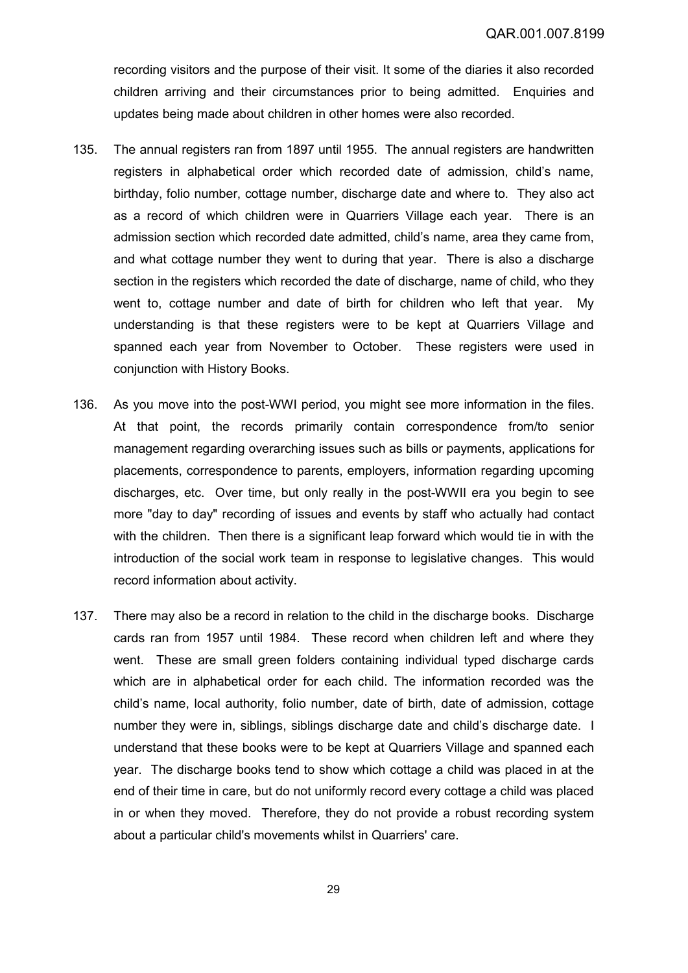recording visitors and the purpose of their visit. It some of the diaries it also recorded children arriving and their circumstances prior to being admitted. Enquiries and updates being made about children in other homes were also recorded.

- 135. The annual registers ran from 1897 until 1955. The annual registers are handwritten registers in alphabetical order which recorded date of admission, child's name, birthday, folio number, cottage number, discharge date and where to. They also act as a record of which children were in Quarriers Village each year. There is an admission section which recorded date admitted, child's name, area they came from, and what cottage number they went to during that year. There is also a discharge section in the registers which recorded the date of discharge, name of child, who they went to, cottage number and date of birth for children who left that year. My understanding is that these registers were to be kept at Quarriers Village and spanned each year from November to October. These registers were used in conjunction with History Books.
- 136. As you move into the post-WWI period, you might see more information in the files. At that point, the records primarily contain correspondence from/to senior management regarding overarching issues such as bills or payments, applications for placements, correspondence to parents, employers, information regarding upcoming discharges, etc. Over time, but only really in the post-WWII era you begin to see more "day to day" recording of issues and events by staff who actually had contact with the children. Then there is a significant leap forward which would tie in with the introduction of the social work team in response to legislative changes. This would record information about activity.
- 137. There may also be a record in relation to the child in the discharge books. Discharge cards ran from 1957 until 1984. These record when children left and where they went. These are small green folders containing individual typed discharge cards which are in alphabetical order for each child. The information recorded was the child's name, local authority, folio number, date of birth, date of admission, cottage number they were in, siblings, siblings discharge date and child's discharge date. I understand that these books were to be kept at Quarriers Village and spanned each year. The discharge books tend to show which cottage a child was placed in at the end of their time in care, but do not uniformly record every cottage a child was placed in or when they moved. Therefore, they do not provide a robust recording system about a particular child's movements whilst in Quarriers' care.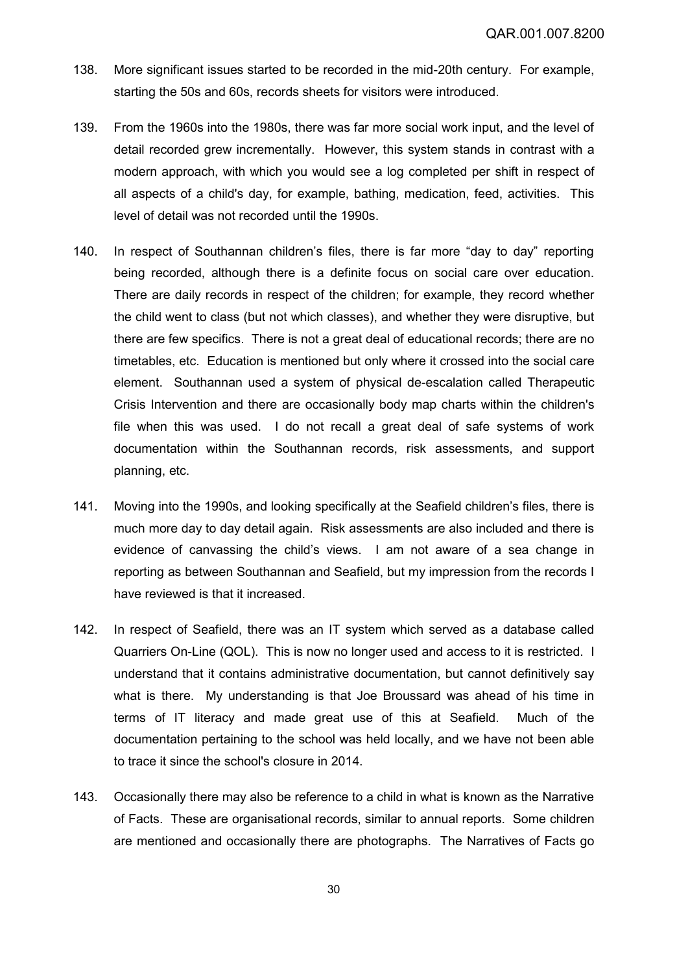- 138. More significant issues started to be recorded in the mid-20th century. For example, starting the 50s and 60s, records sheets for visitors were introduced.
- 139. From the 1960s into the 1980s, there was far more social work input, and the level of detail recorded grew incrementally. However, this system stands in contrast with a modern approach, with which you would see a log completed per shift in respect of all aspects of a child's day, for example, bathing, medication, feed, activities. This level of detail was not recorded until the 1990s.
- 140. In respect of Southannan children's files, there is far more "day to day" reporting being recorded, although there is a definite focus on social care over education. There are daily records in respect of the children; for example, they record whether the child went to class (but not which classes), and whether they were disruptive, but there are few specifics. There is not a great deal of educational records; there are no timetables, etc. Education is mentioned but only where it crossed into the social care element. Southannan used a system of physical de-escalation called Therapeutic Crisis Intervention and there are occasionally body map charts within the children's file when this was used. I do not recall a great deal of safe systems of work documentation within the Southannan records, risk assessments, and support planning, etc.
- 141. Moving into the 1990s, and looking specifically at the Seafield children's files, there is much more day to day detail again. Risk assessments are also included and there is evidence of canvassing the child's views. I am not aware of a sea change in reporting as between Southannan and Seafield, but my impression from the records I have reviewed is that it increased.
- 142. In respect of Seafield, there was an IT system which served as a database called Quarriers On-Line (QOL). This is now no longer used and access to it is restricted. I understand that it contains administrative documentation, but cannot definitively say what is there. My understanding is that Joe Broussard was ahead of his time in terms of IT literacy and made great use of this at Seafield. Much of the documentation pertaining to the school was held locally, and we have not been able to trace it since the school's closure in 2014.
- 143. Occasionally there may also be reference to a child in what is known as the Narrative of Facts. These are organisational records, similar to annual reports. Some children are mentioned and occasionally there are photographs. The Narratives of Facts go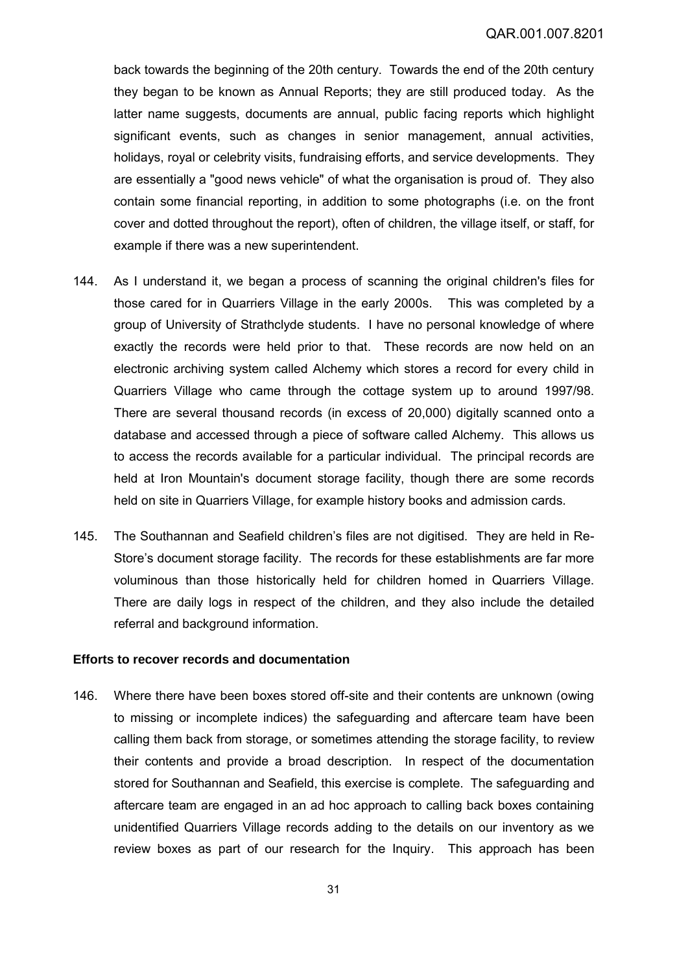back towards the beginning of the 20th century. Towards the end of the 20th century they began to be known as Annual Reports; they are still produced today. As the latter name suggests, documents are annual, public facing reports which highlight significant events, such as changes in senior management, annual activities, holidays, royal or celebrity visits, fundraising efforts, and service developments. They are essentially a "good news vehicle" of what the organisation is proud of. They also contain some financial reporting, in addition to some photographs (i.e. on the front cover and dotted throughout the report), often of children, the village itself, or staff, for example if there was a new superintendent.

- 144. As I understand it, we began a process of scanning the original children's files for those cared for in Quarriers Village in the early 2000s. This was completed by a group of University of Strathclyde students. I have no personal knowledge of where exactly the records were held prior to that. These records are now held on an electronic archiving system called Alchemy which stores a record for every child in Quarriers Village who came through the cottage system up to around 1997/98. There are several thousand records (in excess of 20,000) digitally scanned onto a database and accessed through a piece of software called Alchemy. This allows us to access the records available for a particular individual. The principal records are held at Iron Mountain's document storage facility, though there are some records held on site in Quarriers Village, for example history books and admission cards.
- 145. The Southannan and Seafield children's files are not digitised. They are held in Re-Store's document storage facility. The records for these establishments are far more voluminous than those historically held for children homed in Quarriers Village. There are daily logs in respect of the children, and they also include the detailed referral and background information.

#### **Efforts to recover records and documentation**

146. Where there have been boxes stored off-site and their contents are unknown (owing to missing or incomplete indices) the safeguarding and aftercare team have been calling them back from storage, or sometimes attending the storage facility, to review their contents and provide a broad description. In respect of the documentation stored for Southannan and Seafield, this exercise is complete. The safeguarding and aftercare team are engaged in an ad hoc approach to calling back boxes containing unidentified Quarriers Village records adding to the details on our inventory as we review boxes as part of our research for the Inquiry. This approach has been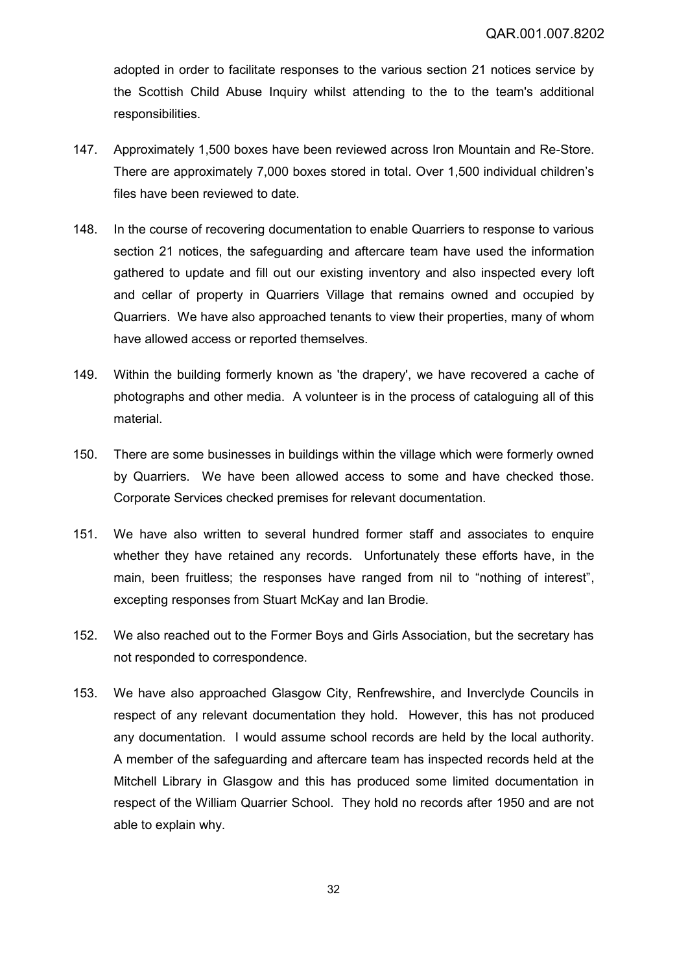adopted in order to facilitate responses to the various section 21 notices service by the Scottish Child Abuse Inquiry whilst attending to the to the team's additional responsibilities.

- 147. Approximately 1,500 boxes have been reviewed across Iron Mountain and Re-Store. There are approximately 7,000 boxes stored in total. Over 1,500 individual children's files have been reviewed to date.
- 148. In the course of recovering documentation to enable Quarriers to response to various section 21 notices, the safeguarding and aftercare team have used the information gathered to update and fill out our existing inventory and also inspected every loft and cellar of property in Quarriers Village that remains owned and occupied by Quarriers. We have also approached tenants to view their properties, many of whom have allowed access or reported themselves.
- 149. Within the building formerly known as 'the drapery', we have recovered a cache of photographs and other media. A volunteer is in the process of cataloguing all of this material.
- 150. There are some businesses in buildings within the village which were formerly owned by Quarriers. We have been allowed access to some and have checked those. Corporate Services checked premises for relevant documentation.
- 151. We have also written to several hundred former staff and associates to enquire whether they have retained any records. Unfortunately these efforts have, in the main, been fruitless; the responses have ranged from nil to "nothing of interest", excepting responses from Stuart McKay and Ian Brodie.
- 152. We also reached out to the Former Boys and Girls Association, but the secretary has not responded to correspondence.
- 153. We have also approached Glasgow City, Renfrewshire, and Inverclyde Councils in respect of any relevant documentation they hold. However, this has not produced any documentation. I would assume school records are held by the local authority. A member of the safeguarding and aftercare team has inspected records held at the Mitchell Library in Glasgow and this has produced some limited documentation in respect of the William Quarrier School. They hold no records after 1950 and are not able to explain why.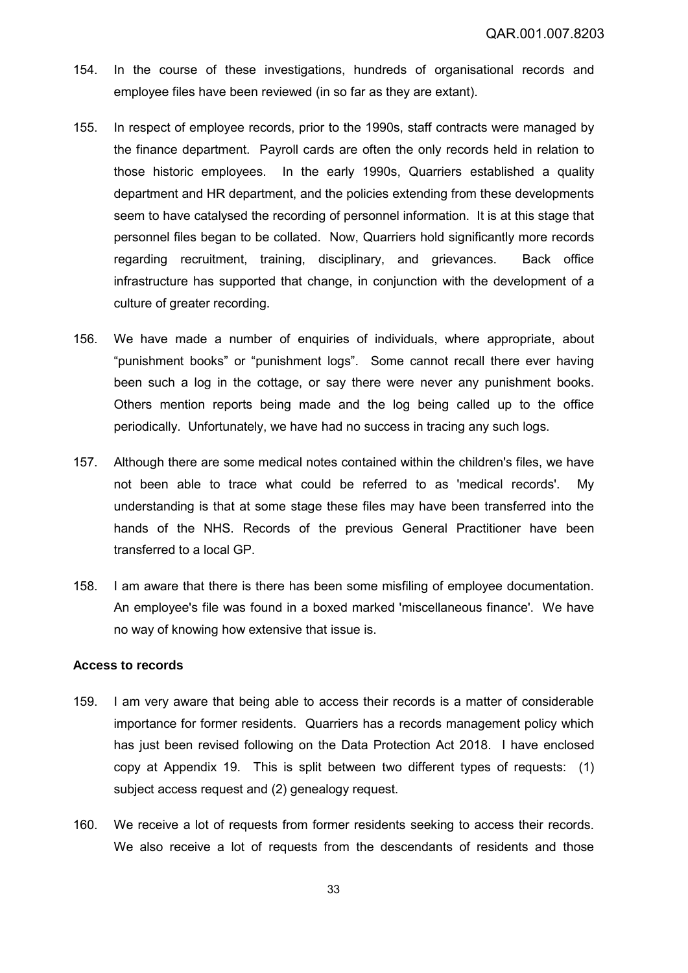- 154. In the course of these investigations, hundreds of organisational records and employee files have been reviewed (in so far as they are extant).
- 155. In respect of employee records, prior to the 1990s, staff contracts were managed by the finance department. Payroll cards are often the only records held in relation to those historic employees. In the early 1990s, Quarriers established a quality department and HR department, and the policies extending from these developments seem to have catalysed the recording of personnel information. It is at this stage that personnel files began to be collated. Now, Quarriers hold significantly more records regarding recruitment, training, disciplinary, and grievances. Back office infrastructure has supported that change, in conjunction with the development of a culture of greater recording.
- 156. We have made a number of enquiries of individuals, where appropriate, about "punishment books" or "punishment logs". Some cannot recall there ever having been such a log in the cottage, or say there were never any punishment books. Others mention reports being made and the log being called up to the office periodically. Unfortunately, we have had no success in tracing any such logs.
- 157. Although there are some medical notes contained within the children's files, we have not been able to trace what could be referred to as 'medical records'. My understanding is that at some stage these files may have been transferred into the hands of the NHS. Records of the previous General Practitioner have been transferred to a local GP.
- 158. I am aware that there is there has been some misfiling of employee documentation. An employee's file was found in a boxed marked 'miscellaneous finance'. We have no way of knowing how extensive that issue is.

### **Access to records**

- 159. I am very aware that being able to access their records is a matter of considerable importance for former residents. Quarriers has a records management policy which has just been revised following on the Data Protection Act 2018. I have enclosed copy at Appendix 19. This is split between two different types of requests: (1) subject access request and (2) genealogy request.
- 160. We receive a lot of requests from former residents seeking to access their records. We also receive a lot of requests from the descendants of residents and those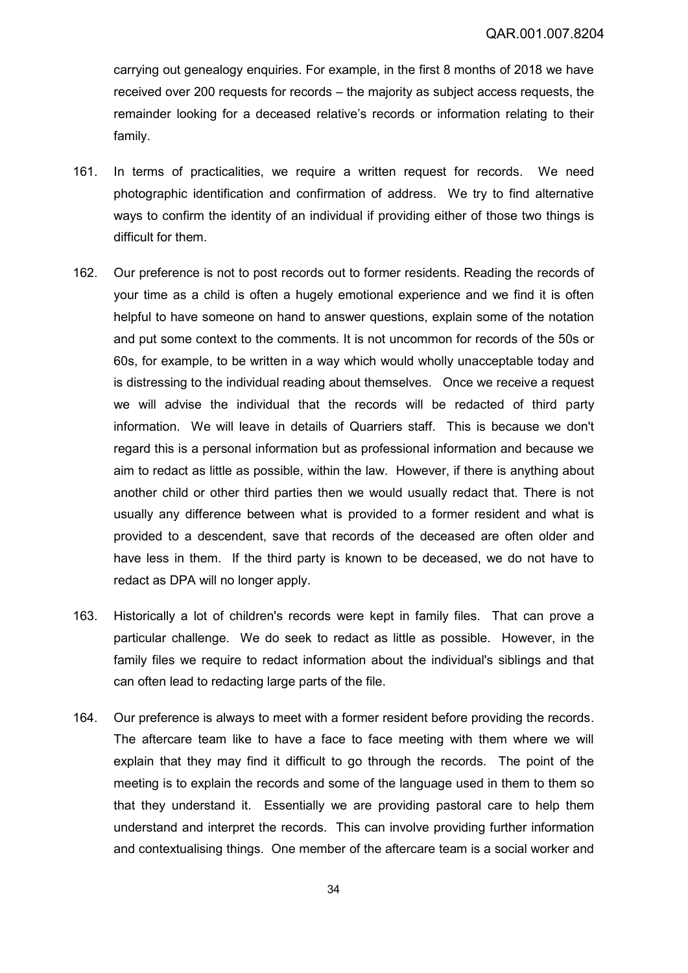carrying out genealogy enquiries. For example, in the first 8 months of 2018 we have received over 200 requests for records – the majority as subject access requests, the remainder looking for a deceased relative's records or information relating to their family.

- 161. In terms of practicalities, we require a written request for records. We need photographic identification and confirmation of address. We try to find alternative ways to confirm the identity of an individual if providing either of those two things is difficult for them.
- 162. Our preference is not to post records out to former residents. Reading the records of your time as a child is often a hugely emotional experience and we find it is often helpful to have someone on hand to answer questions, explain some of the notation and put some context to the comments. It is not uncommon for records of the 50s or 60s, for example, to be written in a way which would wholly unacceptable today and is distressing to the individual reading about themselves. Once we receive a request we will advise the individual that the records will be redacted of third party information. We will leave in details of Quarriers staff. This is because we don't regard this is a personal information but as professional information and because we aim to redact as little as possible, within the law. However, if there is anything about another child or other third parties then we would usually redact that. There is not usually any difference between what is provided to a former resident and what is provided to a descendent, save that records of the deceased are often older and have less in them. If the third party is known to be deceased, we do not have to redact as DPA will no longer apply.
- 163. Historically a lot of children's records were kept in family files. That can prove a particular challenge. We do seek to redact as little as possible. However, in the family files we require to redact information about the individual's siblings and that can often lead to redacting large parts of the file.
- 164. Our preference is always to meet with a former resident before providing the records. The aftercare team like to have a face to face meeting with them where we will explain that they may find it difficult to go through the records. The point of the meeting is to explain the records and some of the language used in them to them so that they understand it. Essentially we are providing pastoral care to help them understand and interpret the records. This can involve providing further information and contextualising things. One member of the aftercare team is a social worker and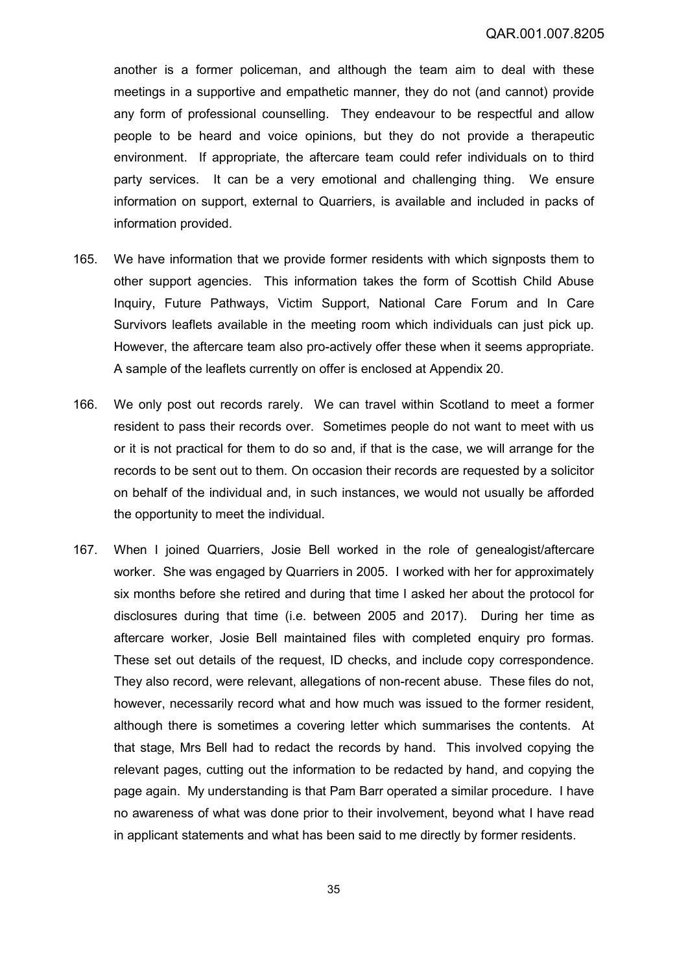another is a former policeman, and although the team aim to deal with these meetings in a supportive and empathetic manner, they do not (and cannot) provide any form of professional counselling. They endeavour to be respectful and allow people to be heard and voice opinions, but they do not provide a therapeutic environment. If appropriate, the aftercare team could refer individuals on to third party services. It can be a very emotional and challenging thing. We ensure information on support, external to Quarriers, is available and included in packs of information provided.

- 165. We have information that we provide former residents with which signposts them to other support agencies. This information takes the form of Scottish Child Abuse Inquiry, Future Pathways, Victim Support, National Care Forum and In Care Survivors leaflets available in the meeting room which individuals can just pick up. However, the aftercare team also pro-actively offer these when it seems appropriate. A sample of the leaflets currently on offer is enclosed at Appendix 20.
- 166. We only post out records rarely. We can travel within Scotland to meet a former resident to pass their records over. Sometimes people do not want to meet with us or it is not practical for them to do so and, if that is the case, we will arrange for the records to be sent out to them. On occasion their records are requested by a solicitor on behalf of the individual and, in such instances, we would not usually be afforded the opportunity to meet the individual.
- 167. When I joined Quarriers, Josie Bell worked in the role of genealogist/aftercare worker. She was engaged by Quarriers in 2005. I worked with her for approximately six months before she retired and during that time I asked her about the protocol for disclosures during that time (i.e. between 2005 and 2017). During her time as aftercare worker, Josie Bell maintained files with completed enquiry pro formas. These set out details of the request, ID checks, and include copy correspondence. They also record, were relevant, allegations of non-recent abuse. These files do not, however, necessarily record what and how much was issued to the former resident, although there is sometimes a covering letter which summarises the contents. At that stage, Mrs Bell had to redact the records by hand. This involved copying the relevant pages, cutting out the information to be redacted by hand, and copying the page again. My understanding is that Pam Barr operated a similar procedure. I have no awareness of what was done prior to their involvement, beyond what I have read in applicant statements and what has been said to me directly by former residents.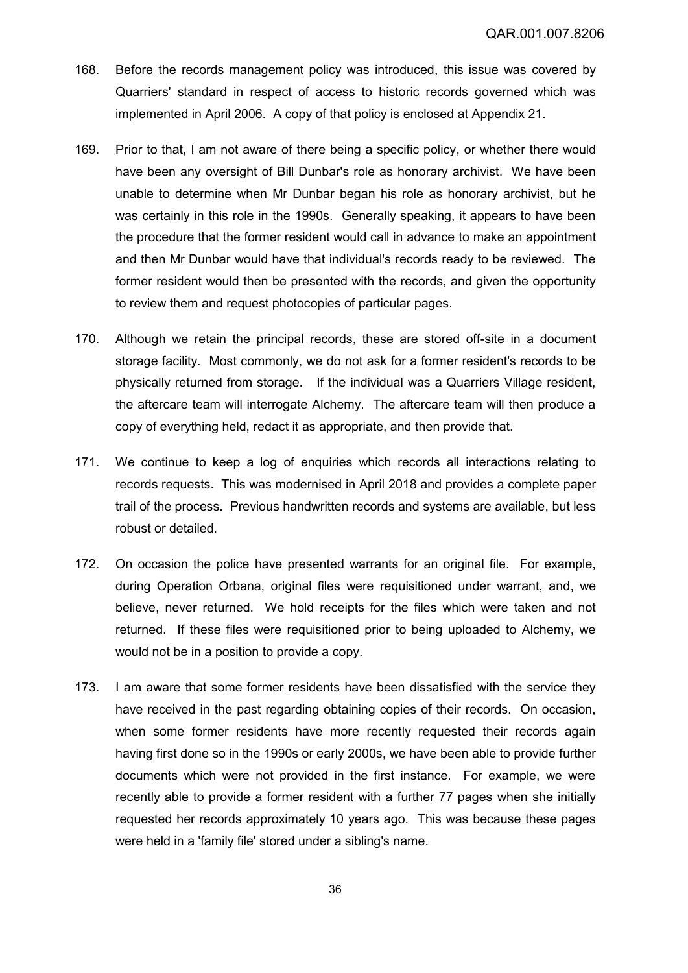- 168. Before the records management policy was introduced, this issue was covered by Quarriers' standard in respect of access to historic records governed which was implemented in April 2006. A copy of that policy is enclosed at Appendix 21.
- 169. Prior to that, I am not aware of there being a specific policy, or whether there would have been any oversight of Bill Dunbar's role as honorary archivist. We have been unable to determine when Mr Dunbar began his role as honorary archivist, but he was certainly in this role in the 1990s. Generally speaking, it appears to have been the procedure that the former resident would call in advance to make an appointment and then Mr Dunbar would have that individual's records ready to be reviewed. The former resident would then be presented with the records, and given the opportunity to review them and request photocopies of particular pages.
- 170. Although we retain the principal records, these are stored off-site in a document storage facility. Most commonly, we do not ask for a former resident's records to be physically returned from storage. If the individual was a Quarriers Village resident, the aftercare team will interrogate Alchemy. The aftercare team will then produce a copy of everything held, redact it as appropriate, and then provide that.
- 171. We continue to keep a log of enquiries which records all interactions relating to records requests. This was modernised in April 2018 and provides a complete paper trail of the process. Previous handwritten records and systems are available, but less robust or detailed.
- 172. On occasion the police have presented warrants for an original file. For example, during Operation Orbana, original files were requisitioned under warrant, and, we believe, never returned. We hold receipts for the files which were taken and not returned. If these files were requisitioned prior to being uploaded to Alchemy, we would not be in a position to provide a copy.
- 173. I am aware that some former residents have been dissatisfied with the service they have received in the past regarding obtaining copies of their records. On occasion, when some former residents have more recently requested their records again having first done so in the 1990s or early 2000s, we have been able to provide further documents which were not provided in the first instance. For example, we were recently able to provide a former resident with a further 77 pages when she initially requested her records approximately 10 years ago. This was because these pages were held in a 'family file' stored under a sibling's name.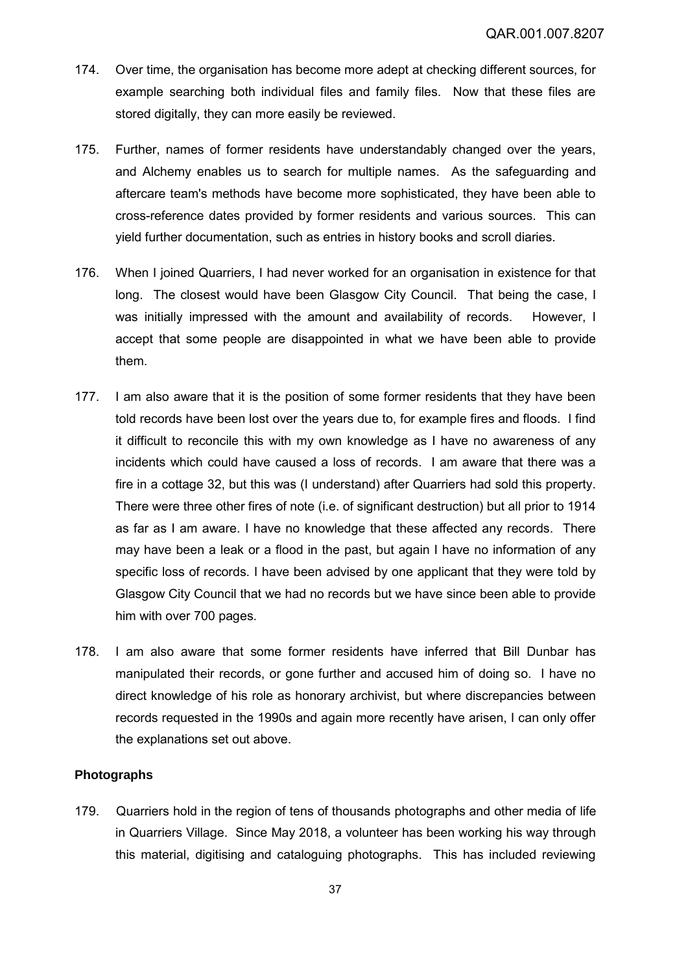- 174. Over time, the organisation has become more adept at checking different sources, for example searching both individual files and family files. Now that these files are stored digitally, they can more easily be reviewed.
- 175. Further, names of former residents have understandably changed over the years, and Alchemy enables us to search for multiple names. As the safeguarding and aftercare team's methods have become more sophisticated, they have been able to cross-reference dates provided by former residents and various sources. This can yield further documentation, such as entries in history books and scroll diaries.
- 176. When I joined Quarriers, I had never worked for an organisation in existence for that long. The closest would have been Glasgow City Council. That being the case, I was initially impressed with the amount and availability of records. However, I accept that some people are disappointed in what we have been able to provide them.
- 177. I am also aware that it is the position of some former residents that they have been told records have been lost over the years due to, for example fires and floods. I find it difficult to reconcile this with my own knowledge as I have no awareness of any incidents which could have caused a loss of records. I am aware that there was a fire in a cottage 32, but this was (I understand) after Quarriers had sold this property. There were three other fires of note (i.e. of significant destruction) but all prior to 1914 as far as I am aware. I have no knowledge that these affected any records. There may have been a leak or a flood in the past, but again I have no information of any specific loss of records. I have been advised by one applicant that they were told by Glasgow City Council that we had no records but we have since been able to provide him with over 700 pages.
- 178. I am also aware that some former residents have inferred that Bill Dunbar has manipulated their records, or gone further and accused him of doing so. I have no direct knowledge of his role as honorary archivist, but where discrepancies between records requested in the 1990s and again more recently have arisen, I can only offer the explanations set out above.

### **Photographs**

179. Quarriers hold in the region of tens of thousands photographs and other media of life in Quarriers Village. Since May 2018, a volunteer has been working his way through this material, digitising and cataloguing photographs. This has included reviewing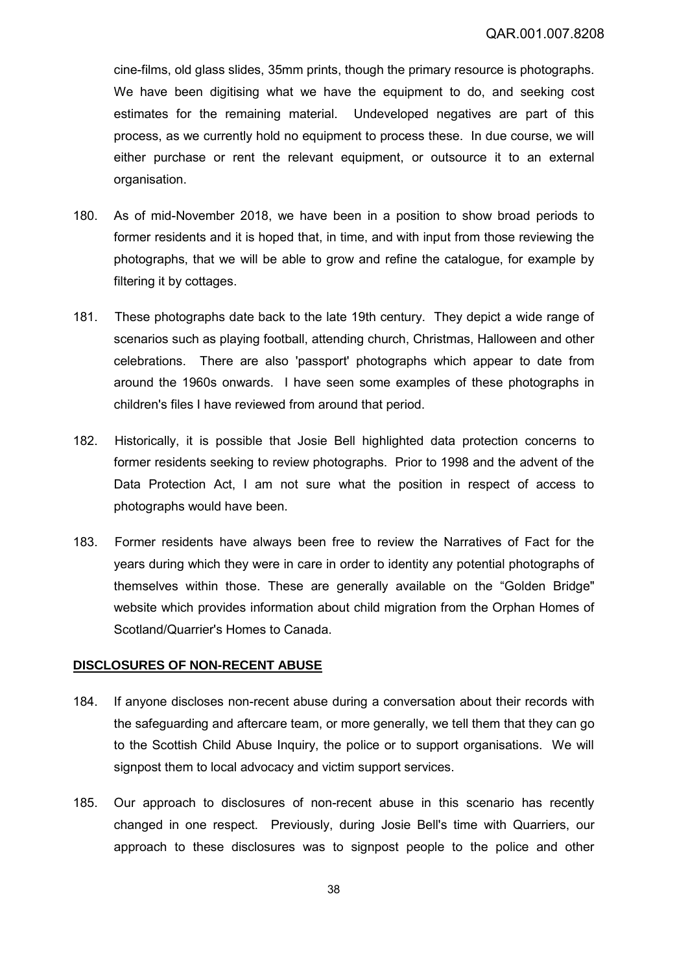cine-films, old glass slides, 35mm prints, though the primary resource is photographs. We have been digitising what we have the equipment to do, and seeking cost estimates for the remaining material. Undeveloped negatives are part of this process, as we currently hold no equipment to process these. In due course, we will either purchase or rent the relevant equipment, or outsource it to an external organisation.

- 180. As of mid-November 2018, we have been in a position to show broad periods to former residents and it is hoped that, in time, and with input from those reviewing the photographs, that we will be able to grow and refine the catalogue, for example by filtering it by cottages.
- 181. These photographs date back to the late 19th century. They depict a wide range of scenarios such as playing football, attending church, Christmas, Halloween and other celebrations. There are also 'passport' photographs which appear to date from around the 1960s onwards. I have seen some examples of these photographs in children's files I have reviewed from around that period.
- 182. Historically, it is possible that Josie Bell highlighted data protection concerns to former residents seeking to review photographs. Prior to 1998 and the advent of the Data Protection Act, I am not sure what the position in respect of access to photographs would have been.
- 183. Former residents have always been free to review the Narratives of Fact for the years during which they were in care in order to identity any potential photographs of themselves within those. These are generally available on the "Golden Bridge" website which provides information about child migration from the Orphan Homes of Scotland/Quarrier's Homes to Canada.

### **DISCLOSURES OF NON-RECENT ABUSE**

- 184. If anyone discloses non-recent abuse during a conversation about their records with the safeguarding and aftercare team, or more generally, we tell them that they can go to the Scottish Child Abuse Inquiry, the police or to support organisations. We will signpost them to local advocacy and victim support services.
- 185. Our approach to disclosures of non-recent abuse in this scenario has recently changed in one respect. Previously, during Josie Bell's time with Quarriers, our approach to these disclosures was to signpost people to the police and other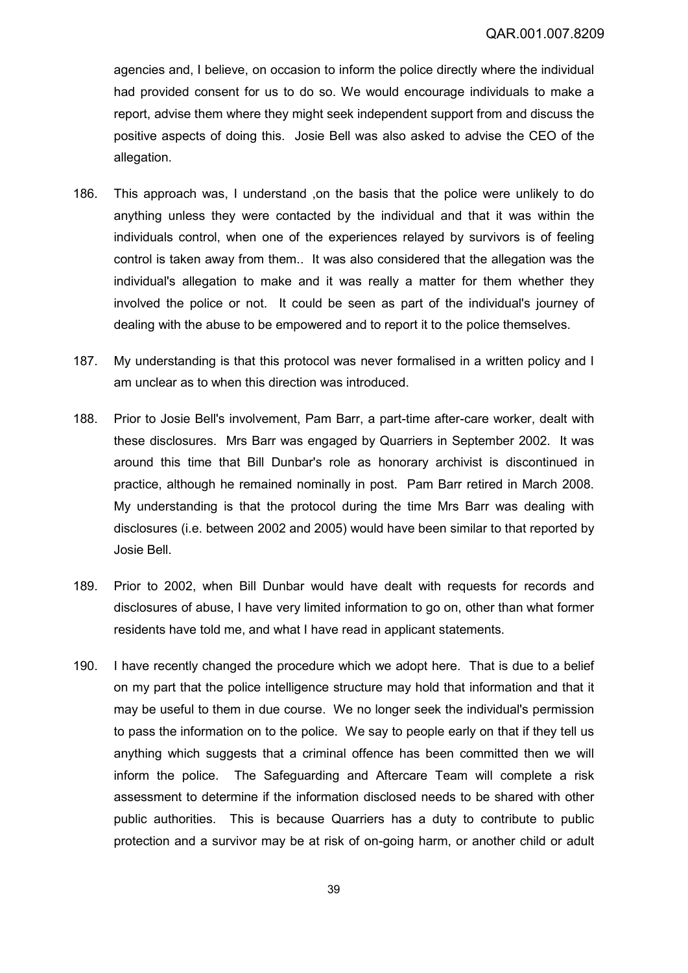agencies and, I believe, on occasion to inform the police directly where the individual had provided consent for us to do so. We would encourage individuals to make a report, advise them where they might seek independent support from and discuss the positive aspects of doing this. Josie Bell was also asked to advise the CEO of the allegation.

- 186. This approach was, I understand ,on the basis that the police were unlikely to do anything unless they were contacted by the individual and that it was within the individuals control, when one of the experiences relayed by survivors is of feeling control is taken away from them.. It was also considered that the allegation was the individual's allegation to make and it was really a matter for them whether they involved the police or not. It could be seen as part of the individual's journey of dealing with the abuse to be empowered and to report it to the police themselves.
- 187. My understanding is that this protocol was never formalised in a written policy and I am unclear as to when this direction was introduced.
- 188. Prior to Josie Bell's involvement, Pam Barr, a part-time after-care worker, dealt with these disclosures. Mrs Barr was engaged by Quarriers in September 2002. It was around this time that Bill Dunbar's role as honorary archivist is discontinued in practice, although he remained nominally in post. Pam Barr retired in March 2008. My understanding is that the protocol during the time Mrs Barr was dealing with disclosures (i.e. between 2002 and 2005) would have been similar to that reported by Josie Bell.
- 189. Prior to 2002, when Bill Dunbar would have dealt with requests for records and disclosures of abuse, I have very limited information to go on, other than what former residents have told me, and what I have read in applicant statements.
- 190. I have recently changed the procedure which we adopt here. That is due to a belief on my part that the police intelligence structure may hold that information and that it may be useful to them in due course. We no longer seek the individual's permission to pass the information on to the police. We say to people early on that if they tell us anything which suggests that a criminal offence has been committed then we will inform the police. The Safeguarding and Aftercare Team will complete a risk assessment to determine if the information disclosed needs to be shared with other public authorities. This is because Quarriers has a duty to contribute to public protection and a survivor may be at risk of on-going harm, or another child or adult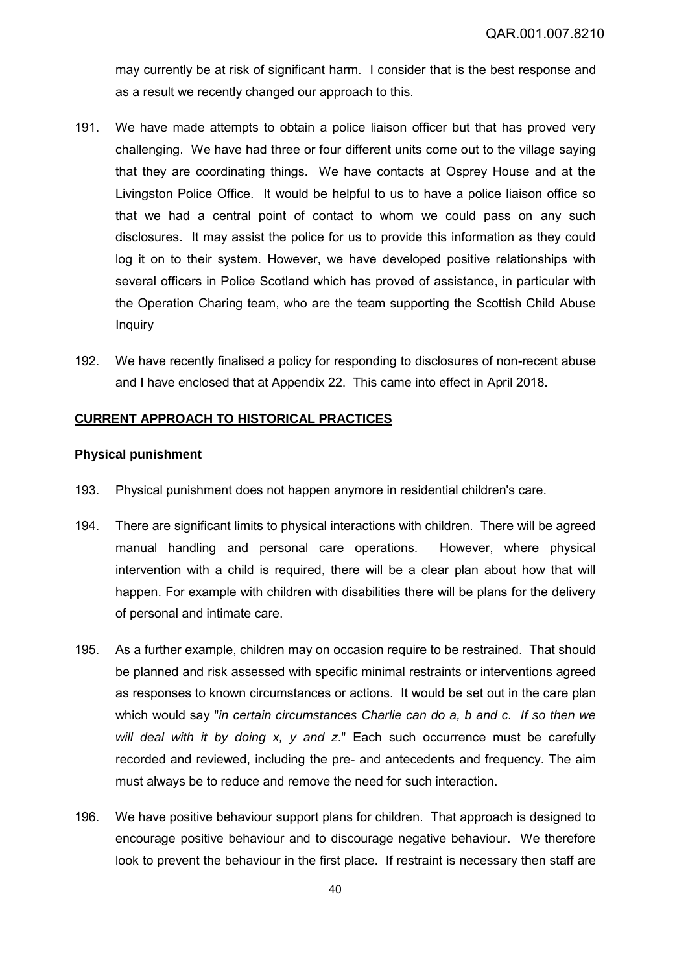may currently be at risk of significant harm. I consider that is the best response and as a result we recently changed our approach to this.

- 191. We have made attempts to obtain a police liaison officer but that has proved very challenging. We have had three or four different units come out to the village saying that they are coordinating things. We have contacts at Osprey House and at the Livingston Police Office. It would be helpful to us to have a police liaison office so that we had a central point of contact to whom we could pass on any such disclosures. It may assist the police for us to provide this information as they could log it on to their system. However, we have developed positive relationships with several officers in Police Scotland which has proved of assistance, in particular with the Operation Charing team, who are the team supporting the Scottish Child Abuse **Inquiry**
- 192. We have recently finalised a policy for responding to disclosures of non-recent abuse and I have enclosed that at Appendix 22. This came into effect in April 2018.

## **CURRENT APPROACH TO HISTORICAL PRACTICES**

### **Physical punishment**

- 193. Physical punishment does not happen anymore in residential children's care.
- 194. There are significant limits to physical interactions with children. There will be agreed manual handling and personal care operations. However, where physical intervention with a child is required, there will be a clear plan about how that will happen. For example with children with disabilities there will be plans for the delivery of personal and intimate care.
- 195. As a further example, children may on occasion require to be restrained. That should be planned and risk assessed with specific minimal restraints or interventions agreed as responses to known circumstances or actions. It would be set out in the care plan which would say "*in certain circumstances Charlie can do a, b and c. If so then we will deal with it by doing x, y and z*." Each such occurrence must be carefully recorded and reviewed, including the pre- and antecedents and frequency. The aim must always be to reduce and remove the need for such interaction.
- 196. We have positive behaviour support plans for children. That approach is designed to encourage positive behaviour and to discourage negative behaviour. We therefore look to prevent the behaviour in the first place. If restraint is necessary then staff are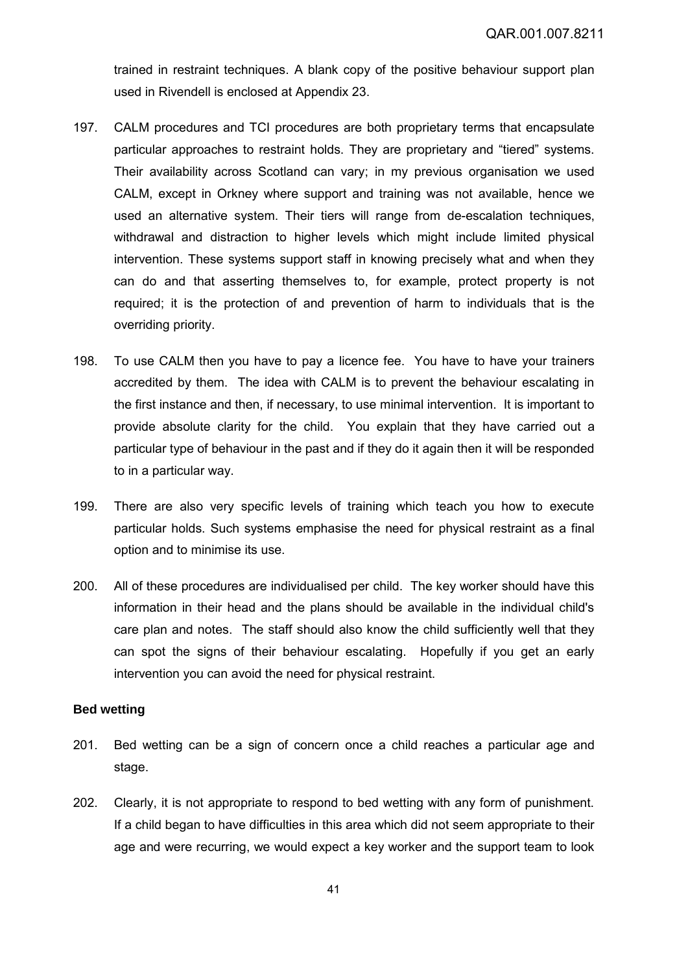trained in restraint techniques. A blank copy of the positive behaviour support plan used in Rivendell is enclosed at Appendix 23.

- 197. CALM procedures and TCI procedures are both proprietary terms that encapsulate particular approaches to restraint holds. They are proprietary and "tiered" systems. Their availability across Scotland can vary; in my previous organisation we used CALM, except in Orkney where support and training was not available, hence we used an alternative system. Their tiers will range from de-escalation techniques, withdrawal and distraction to higher levels which might include limited physical intervention. These systems support staff in knowing precisely what and when they can do and that asserting themselves to, for example, protect property is not required; it is the protection of and prevention of harm to individuals that is the overriding priority.
- 198. To use CALM then you have to pay a licence fee. You have to have your trainers accredited by them. The idea with CALM is to prevent the behaviour escalating in the first instance and then, if necessary, to use minimal intervention. It is important to provide absolute clarity for the child. You explain that they have carried out a particular type of behaviour in the past and if they do it again then it will be responded to in a particular way.
- 199. There are also very specific levels of training which teach you how to execute particular holds. Such systems emphasise the need for physical restraint as a final option and to minimise its use.
- 200. All of these procedures are individualised per child. The key worker should have this information in their head and the plans should be available in the individual child's care plan and notes. The staff should also know the child sufficiently well that they can spot the signs of their behaviour escalating. Hopefully if you get an early intervention you can avoid the need for physical restraint.

## **Bed wetting**

- 201. Bed wetting can be a sign of concern once a child reaches a particular age and stage.
- 202. Clearly, it is not appropriate to respond to bed wetting with any form of punishment. If a child began to have difficulties in this area which did not seem appropriate to their age and were recurring, we would expect a key worker and the support team to look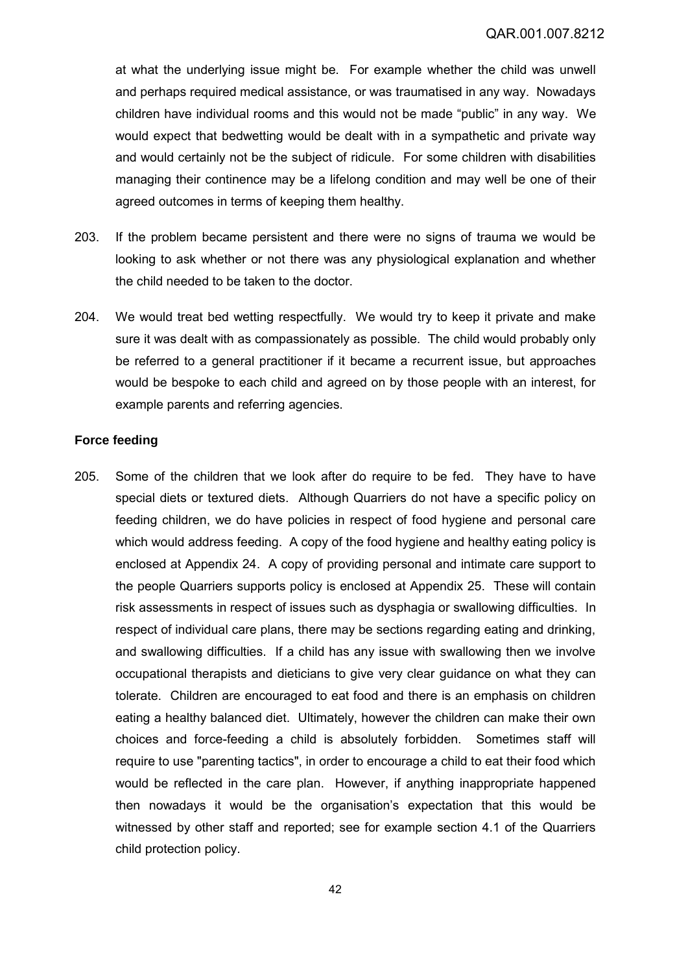at what the underlying issue might be. For example whether the child was unwell and perhaps required medical assistance, or was traumatised in any way. Nowadays children have individual rooms and this would not be made "public" in any way. We would expect that bedwetting would be dealt with in a sympathetic and private way and would certainly not be the subject of ridicule. For some children with disabilities managing their continence may be a lifelong condition and may well be one of their agreed outcomes in terms of keeping them healthy.

- 203. If the problem became persistent and there were no signs of trauma we would be looking to ask whether or not there was any physiological explanation and whether the child needed to be taken to the doctor.
- 204. We would treat bed wetting respectfully. We would try to keep it private and make sure it was dealt with as compassionately as possible. The child would probably only be referred to a general practitioner if it became a recurrent issue, but approaches would be bespoke to each child and agreed on by those people with an interest, for example parents and referring agencies.

### **Force feeding**

205. Some of the children that we look after do require to be fed. They have to have special diets or textured diets. Although Quarriers do not have a specific policy on feeding children, we do have policies in respect of food hygiene and personal care which would address feeding. A copy of the food hygiene and healthy eating policy is enclosed at Appendix 24. A copy of providing personal and intimate care support to the people Quarriers supports policy is enclosed at Appendix 25. These will contain risk assessments in respect of issues such as dysphagia or swallowing difficulties. In respect of individual care plans, there may be sections regarding eating and drinking, and swallowing difficulties. If a child has any issue with swallowing then we involve occupational therapists and dieticians to give very clear guidance on what they can tolerate. Children are encouraged to eat food and there is an emphasis on children eating a healthy balanced diet. Ultimately, however the children can make their own choices and force-feeding a child is absolutely forbidden. Sometimes staff will require to use "parenting tactics", in order to encourage a child to eat their food which would be reflected in the care plan. However, if anything inappropriate happened then nowadays it would be the organisation's expectation that this would be witnessed by other staff and reported; see for example section 4.1 of the Quarriers child protection policy.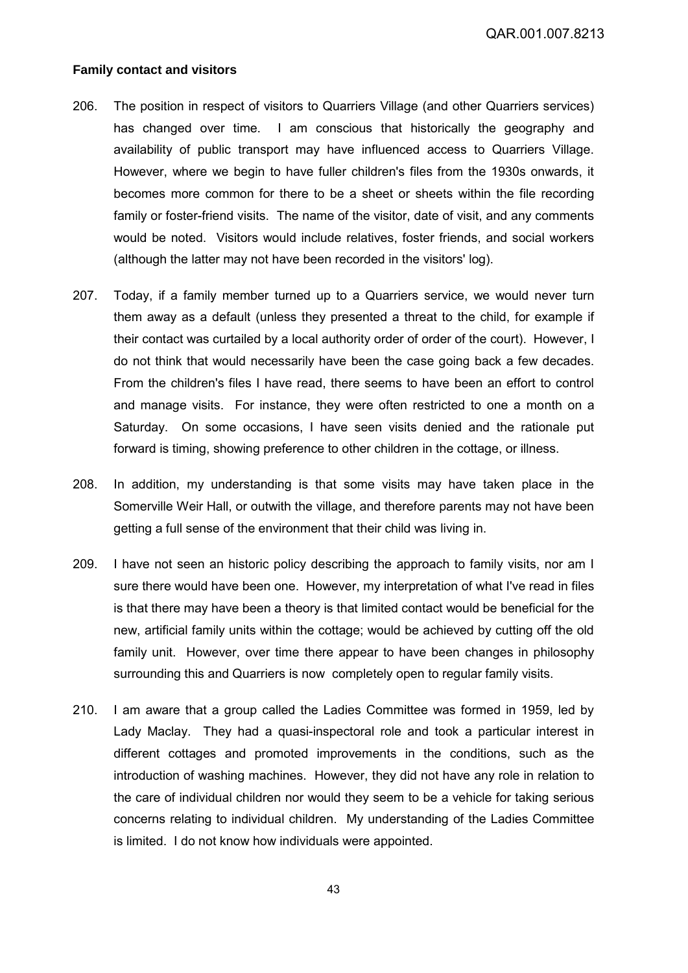QAR.001.007.8213

#### **Family contact and visitors**

- 206. The position in respect of visitors to Quarriers Village (and other Quarriers services) has changed over time. I am conscious that historically the geography and availability of public transport may have influenced access to Quarriers Village. However, where we begin to have fuller children's files from the 1930s onwards, it becomes more common for there to be a sheet or sheets within the file recording family or foster-friend visits. The name of the visitor, date of visit, and any comments would be noted. Visitors would include relatives, foster friends, and social workers (although the latter may not have been recorded in the visitors' log).
- 207. Today, if a family member turned up to a Quarriers service, we would never turn them away as a default (unless they presented a threat to the child, for example if their contact was curtailed by a local authority order of order of the court). However, I do not think that would necessarily have been the case going back a few decades. From the children's files I have read, there seems to have been an effort to control and manage visits. For instance, they were often restricted to one a month on a Saturday. On some occasions, I have seen visits denied and the rationale put forward is timing, showing preference to other children in the cottage, or illness.
- 208. In addition, my understanding is that some visits may have taken place in the Somerville Weir Hall, or outwith the village, and therefore parents may not have been getting a full sense of the environment that their child was living in.
- 209. I have not seen an historic policy describing the approach to family visits, nor am I sure there would have been one. However, my interpretation of what I've read in files is that there may have been a theory is that limited contact would be beneficial for the new, artificial family units within the cottage; would be achieved by cutting off the old family unit. However, over time there appear to have been changes in philosophy surrounding this and Quarriers is now completely open to regular family visits.
- 210. I am aware that a group called the Ladies Committee was formed in 1959, led by Lady Maclay. They had a quasi-inspectoral role and took a particular interest in different cottages and promoted improvements in the conditions, such as the introduction of washing machines. However, they did not have any role in relation to the care of individual children nor would they seem to be a vehicle for taking serious concerns relating to individual children. My understanding of the Ladies Committee is limited. I do not know how individuals were appointed.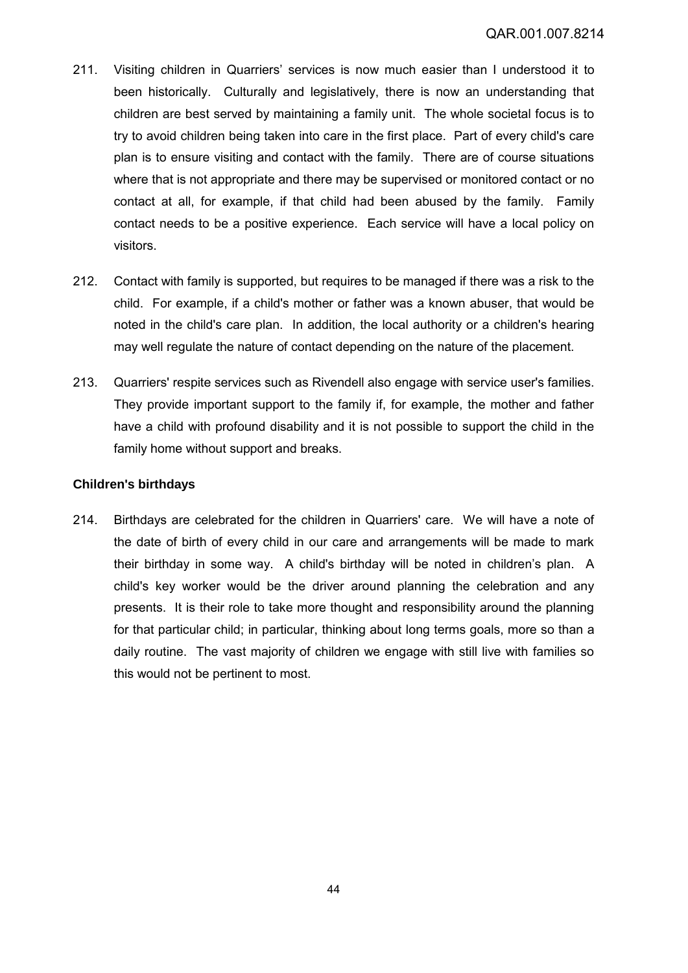- 211. Visiting children in Quarriers' services is now much easier than I understood it to been historically. Culturally and legislatively, there is now an understanding that children are best served by maintaining a family unit. The whole societal focus is to try to avoid children being taken into care in the first place. Part of every child's care plan is to ensure visiting and contact with the family. There are of course situations where that is not appropriate and there may be supervised or monitored contact or no contact at all, for example, if that child had been abused by the family. Family contact needs to be a positive experience. Each service will have a local policy on visitors.
- 212. Contact with family is supported, but requires to be managed if there was a risk to the child. For example, if a child's mother or father was a known abuser, that would be noted in the child's care plan. In addition, the local authority or a children's hearing may well regulate the nature of contact depending on the nature of the placement.
- 213. Quarriers' respite services such as Rivendell also engage with service user's families. They provide important support to the family if, for example, the mother and father have a child with profound disability and it is not possible to support the child in the family home without support and breaks.

# **Children's birthdays**

214. Birthdays are celebrated for the children in Quarriers' care. We will have a note of the date of birth of every child in our care and arrangements will be made to mark their birthday in some way. A child's birthday will be noted in children's plan. A child's key worker would be the driver around planning the celebration and any presents. It is their role to take more thought and responsibility around the planning for that particular child; in particular, thinking about long terms goals, more so than a daily routine. The vast majority of children we engage with still live with families so this would not be pertinent to most.